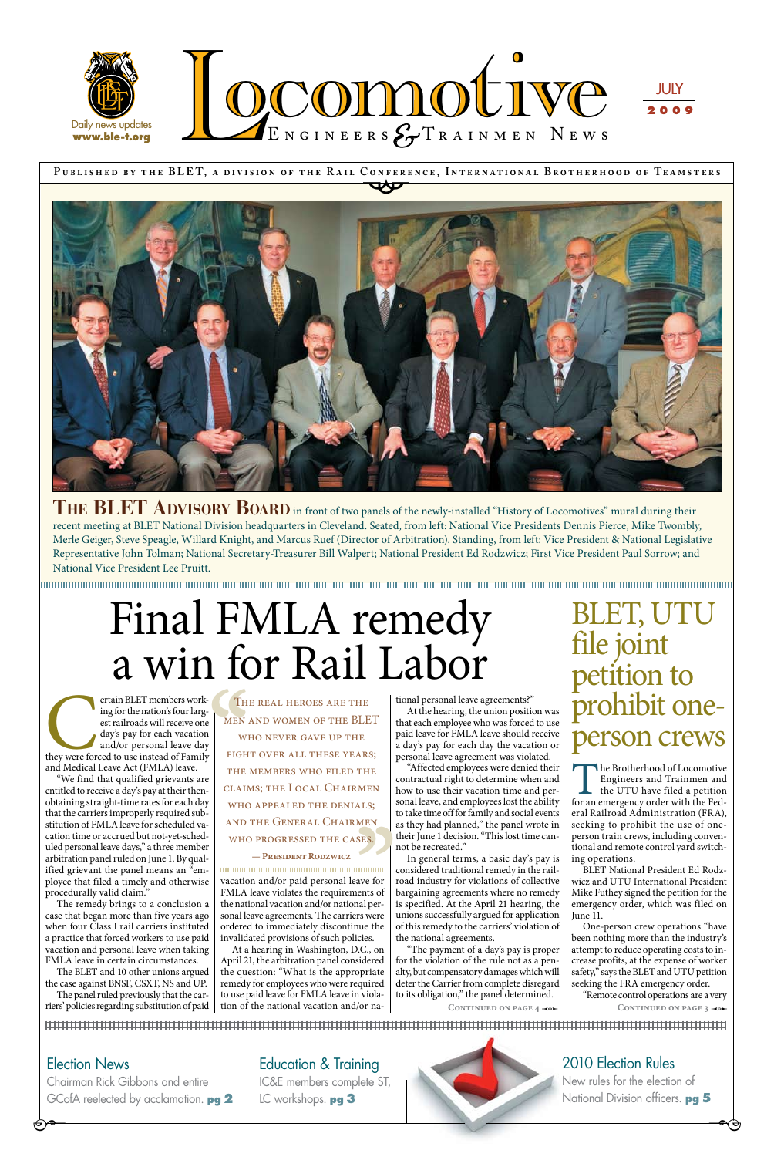**P ublished by the BLE T, a div ision of the R a il Conference, Internationa l Brotherhood of Te a msters** CONFERE



### Education & Training



IC&E members complete ST, LC workshops. **pg 3** 



### 2010 Election Rules

New rules for the election of National Division officers. **pg 5** 

ertain BLET members work-<br>
ing for the nation's four larg-<br>
est railroads will receive one<br>
day's pay for each vacation<br>
and/or personal leave day<br>
they were forced to use instead of Family<br>
and Medical Leave Act (FMLA) le ing for the nation's four largest railroads will receive one day's pay for each vacation and/or personal leave day and Medical Leave Act (FMLA) leave.

# Final FMLA remedy a win for Rail Labor

### Election News

 $\Theta^{\bullet-}$ 

Chairman Rick Gibbons and entire GCofA reelected by acclamation. **pg 2** 

"We find that qualified grievants are entitled to receive a day's pay at their thenobtaining straight-time rates for each day that the carriers improperly required substitution of FMLA leave for scheduled vacation time or accrued but not-yet-scheduled personal leave days," a three member arbitration panel ruled on June 1. By qualified grievant the panel means an "employee that filed a timely and otherwise procedurally valid claim." The remedy brings to a conclusion a case that began more than five years ago when four Class I rail carriers instituted a practice that forced workers to use paid vacation and personal leave when taking FMLA leave in certain circumstances. The BLET and 10 other unions argued the case against BNSF, CSXT, NS and UP. The panel ruled previously that the carriers' policies regarding substitution of paid

vacation and/or paid personal leave for FMLA leave violates the requirements of the national vacation and/or national personal leave agreements. The carriers were ordered to immediately discontinue the invalidated provisions of such policies.

THE BLET ADVISORY BOARD in front of two panels of the newly-installed "History of Locomotives" mural during their recent meeting at BLET National Division headquarters in Cleveland. Seated, from left: National Vice Presidents Dennis Pierce, Mike Twombly, Merle Geiger, Steve Speagle, Willard Knight, and Marcus Ruef (Director of Arbitration). Standing, from left: Vice President & National Legislative Representative John Tolman; National Secretary-Treasurer Bill Walpert; National President Ed Rodzwicz; First Vice President Paul Sorrow; and National Vice President Lee Pruitt.

At a hearing in Washington, D.C., on April 21, the arbitration panel considered the question: "What is the appropriate remedy for employees who were required to use paid leave for FMLA leave in violation of the national vacation and/or na-

The Brotherhood of Locomotive<br>
Engineers and Trainmen and<br>
the UTU have filed a petition<br>
for an emergency order with the Fed-Engineers and Trainmen and the UTU have filed a petition eral Railroad Administration (FRA), seeking to prohibit the use of oneperson train crews, including conventional and remote control yard switch-

tional personal leave agreements?"

At the hearing, the union position was that each employee who was forced to use paid leave for FMLA leave should receive a day's pay for each day the vacation or personal leave agreement was violated.

> "Remote control operations are a very CONTINUED ON PAGE 3  $\rightarrow$

> > $\overline{\phantom{a}}$

THE PRESENT THE PRESENT THE PRESENT THE PRESENT THE PRESENT THE PRESENT THE PRESENT THE PRESENT THE PRESENT THE PRESENT THE PRESENT THE PRESENT THE PRESENT PRESENT PRESENT PRESENT PRESENT PRESENT PRESENT PRESENT PRESENT PR THE<br>MEN<br>LLS;<br>MEN<br>JES. THE REAL HEROES ARE THE men and women of the BLET who never gave up the fight over all these years; THE MEMBERS WHO FILED THE claims; the Local Chairmen who appealed the denials; and the General Chairmen who progressed the cases.

"Affected employees were denied their contractual right to determine when and how to use their vacation time and personal leave, and employees lost the ability to take time off for family and social events as they had planned," the panel wrote in their June 1 decision. "This lost time cannot be recreated."

In general terms, a basic day's pay is considered traditional remedy in the railroad industry for violations of collective bargaining agreements where no remedy is specified. At the April 21 hearing, the unions successfully argued for application of this remedy to the carriers' violation of the national agreements.

"The payment of a day's pay is proper for the violation of the rule not as a penalty, but compensatory damages which will deter the Carrier from complete disregard to its obligation," the panel determined.

CONTINUED ON PAGE 4 **-0** 

ing operations.

BLET National President Ed Rodzwicz and UTU International President Mike Futhey signed the petition for the emergency order, which was filed on June 11.

One-person crew operations "have been nothing more than the industry's attempt to reduce operating costs to increase profits, at the expense of worker safety," says the BLET and UTU petition seeking the FRA emergency order.

## BLET, UTU file joint petition to prohibit oneperson crews

#### **— President Rodzwicz**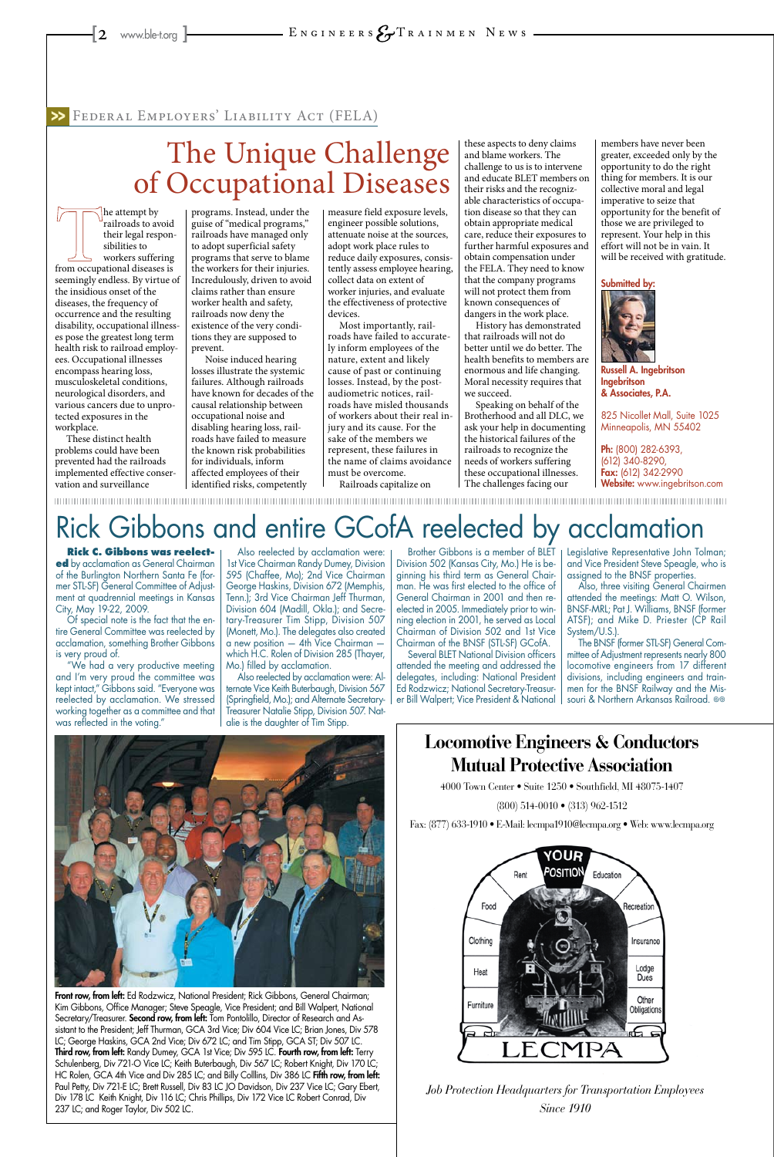### **Locomotive Engineers & Conductors Mutual Protective Association**

4000 Town Center • Suite 1250 • Southfield, MI 48075-1407

(800) 514-0010 • (313) 962-1512

Fax: (877) 633-1910 • E-Mail: lecmpa1910@lecmpa.org • Web: www.lecmpa.org





*Job Protection Headquarters for Transportation Employees Since 1910*

he attempt by railroads to avoid their legal responsibilities to workers suffering from occupational diseases is seemingly endless. By virtue of the insidious onset of the diseases, the frequency of occurrence and the resulting disability, occupational illnesses pose the greatest long term health risk to railroad employees. Occupational illnesses encompass hearing loss, musculoskeletal conditions, neurological disorders, and various cancers due to unprotected exposures in the workplace.

These distinct health problems could have been prevented had the railroads implemented effective conservation and surveillance

programs. Instead, under the guise of "medical programs," railroads have managed only to adopt superficial safety programs that serve to blame the workers for their injuries. Incredulously, driven to avoid claims rather than ensure worker health and safety, railroads now deny the existence of the very conditions they are supposed to prevent.

 Noise induced hearing losses illustrate the systemic failures. Although railroads have known for decades of the causal relationship between occupational noise and disabling hearing loss, railroads have failed to measure the known risk probabilities for individuals, inform affected employees of their identified risks, competently

measure field exposure levels, engineer possible solutions, attenuate noise at the sources, adopt work place rules to reduce daily exposures, consistently assess employee hearing, collect data on extent of worker injuries, and evaluate the effectiveness of protective devices.

Most importantly, railroads have failed to accurately inform employees of the nature, extent and likely cause of past or continuing losses. Instead, by the postaudiometric notices, railroads have misled thousands of workers about their real injury and its cause. For the sake of the members we represent, these failures in the name of claims avoidance must be overcome.

Railroads capitalize on

these aspects to deny claims and blame workers. The challenge to us is to intervene and educate BLET members on their risks and the recognizable characteristics of occupation disease so that they can obtain appropriate medical care, reduce their exposures to further harmful exposures and obtain compensation under the FELA. They need to know that the company programs will not protect them from known consequences of dangers in the work place.

History has demonstrated that railroads will not do better until we do better. The health benefits to members are enormous and life changing. Moral necessity requires that we succeed.

> The BNSF (former STL-SF) General Committee of Adjustment represents nearly 800 locomotive engineers from 17 different divisions, including engineers and trainmen for the BNSF Railway and the Missouri & Northern Arkansas Railroad. ©®

Speaking on behalf of the Brotherhood and all DLC, we ask your help in documenting the historical failures of the railroads to recognize the needs of workers suffering these occupational illnesses. The challenges facing our

members have never been greater, exceeded only by the opportunity to do the right thing for members. It is our collective moral and legal imperative to seize that opportunity for the benefit of those we are privileged to represent. Your help in this effort will not be in vain. It will be received with gratitude.

Front row, from left: Ed Rodzwicz, National President; Rick Gibbons, General Chairman; Kim Gibbons, Office Manager; Steve Speagle, Vice President; and Bill Walpert, National Secretary/Treasurer. Second row, from left: Tom Pontolillo, Director of Research and Assistant to the President; Jeff Thurman, GCA 3rd Vice; Div 604 Vice LC; Brian Jones, Div 578 LC; George Haskins, GCA 2nd Vice; Div 672 LC; and Tim Stipp, GCA ST; Div 507 LC. Third row, from left: Randy Dumey, GCA 1st Vice; Div 595 LC. Fourth row, from left: Terry Schulenberg, Div 721-O Vice LC; Keith Buterbaugh, Div 567 LC; Robert Knight, Div 170 LC; HC Rolen, GCA 4th Vice and Div 285 LC; and Billy Colllins, Div 386 LC Fifth row, from left: Paul Petty, Div 721-E LC; Brett Russell, Div 83 LC JO Davidson, Div 237 Vice LC; Gary Ebert, Div 178 LC Keith Knight, Div 116 LC; Chris Phillips, Div 172 Vice LC Robert Conrad, Div 237 LC; and Roger Taylor, Div 502 LC.





Russell A. Ingebritson Ingebritson & Associates, P.A.

825 Nicollet Mall, Suite 1025 Minneapolis, MN 55402

Ph: (800) 282-6393, (612) 340-8290, Fax: (612) 342-2990 Website: www.ingebritson.com

### Federal Employers' Liability Act (FELA) >>

## The Unique Challenge of Occupational Diseases

**Rick C. Gibbons was reelected** by acclamation as General Chairman of the Burlington Northern Santa Fe (former STL-SF) General Committee of Adjustment at quadrennial meetings in Kansas City, May 19-22, 2009.

Of special note is the fact that the entire General Committee was reelected by acclamation, something Brother Gibbons is very proud of.

"We had a very productive meeting and I'm very proud the committee was kept intact," Gibbons said. "Everyone was reelected by acclamation. We stressed working together as a committee and that was reflected in the voting."

Also reelected by acclamation were: 1st Vice Chairman Randy Dumey, Division 595 (Chaffee, Mo); 2nd Vice Chairman George Haskins, Division 672 (Memphis, Tenn.); 3rd Vice Chairman Jeff Thurman, Division 604 (Madill, Okla.); and Secretary-Treasurer Tim Stipp, Division 507 (Monett, Mo.). The delegates also created a new position — 4th Vice Chairman which H.C. Rolen of Division 285 (Thayer, Mo.) filled by acclamation.

Also reelected by acclamation were: Alternate Vice Keith Buterbaugh, Division 567 (Springfield, Mo.); and Alternate Secretary-Treasurer Natalie Stipp, Division 507. Natalie is the daughter of Tim Stipp.

Brother Gibbons is a member of BLET Division 502 (Kansas City, Mo.) He is beginning his third term as General Chairman. He was first elected to the office of General Chairman in 2001 and then reelected in 2005. Immediately prior to winning election in 2001, he served as Local Chairman of Division 502 and 1st Vice Chairman of the BNSF (STL-SF) GCofA.

Several BLET National Division officers attended the meeting and addressed the delegates, including: National President Ed Rodzwicz; National Secretary-Treasurer Bill Walpert; Vice President & National Legislative Representative John Tolman; and Vice President Steve Speagle, who is assigned to the BNSF properties.

Also, three visiting General Chairmen attended the meetings: Matt O. Wilson, BNSF-MRL; Pat J. Williams, BNSF (former ATSF); and Mike D. Priester (CP Rail System/U.S.).

## Rick Gibbons and entire GCofA reelected by acclamation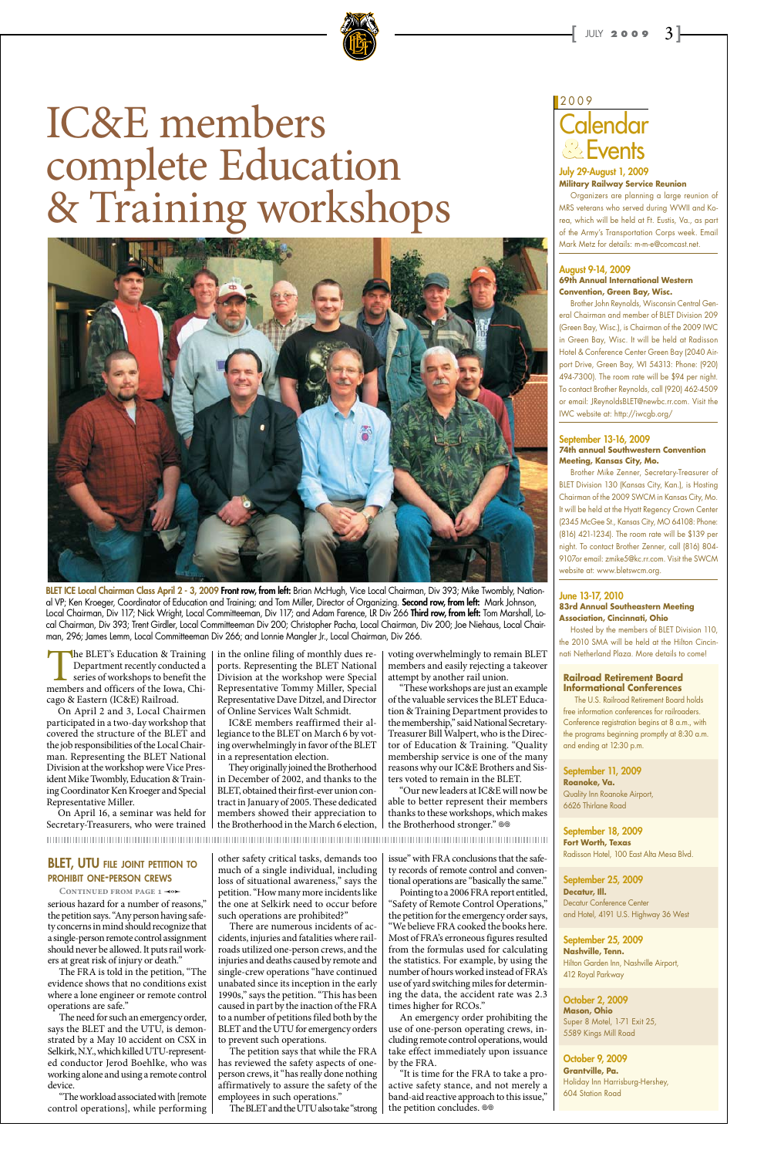### Calendar Events **&** 2009

#### July 29-August 1, 2009 **Military Railway Service Reunion**

Organizers are planning a large reunion of MRS veterans who served during WWII and Korea, which will be held at Ft. Eustis, Va., as part of the Army's Transportation Corps week. Email Mark Metz for details: m-m-e@comcast.net.

#### August 9-14, 2009 **69th Annual International Western Convention, Green Bay, Wisc.**

Brother John Reynolds, Wisconsin Central General Chairman and member of BLET Division 209 (Green Bay, Wisc.), is Chairman of the 2009 IWC in Green Bay, Wisc. It will be held at Radisson Hotel & Conference Center Green Bay (2040 Airport Drive, Green Bay, WI 54313: Phone: (920) 494-7300). The room rate will be \$94 per night. To contact Brother Reynolds, call (920) 462-4509 or email: JReynoldsBLET@newbc.rr.com. Visit the IWC website at: http://iwcgb.org/

#### September 13-16, 2009 **74th annual Southwestern Convention Meeting, Kansas City, Mo.**

Brother Mike Zenner, Secretary-Treasurer of BLET Division 130 (Kansas City, Kan.), is Hosting Chairman of the 2009 SWCM in Kansas City, Mo. It will be held at the Hyatt Regency Crown Center (2345 McGee St., Kansas City, MO 64108: Phone: (816) 421-1234). The room rate will be \$139 per night. To contact Brother Zenner, call (816) 804- 9107or email: zmike5@kc.rr.com. Visit the SWCM website at: www.bletswcm.org.

#### June 13-17, 2010 **83rd Annual Southeastern Meeting Association, Cincinnati, Ohio**

Hosted by the members of BLET Division 110, the 2010 SMA will be held at the Hilton Cincinnati Netherland Plaza. More details to come!

#### **Railroad Retirement Board Informational Conferences**

The U.S. Railroad Retirement Board holds free information conferences for railroaders. Conference registration begins at 8 a.m., with the programs beginning promptly at 8:30 a.m. and ending at 12:30 p.m.

September 11, 2009

**Roanoke, Va.** Quality Inn Roanoke Airport, 6626 Thirlane Road

September 18, 2009 **Fort Worth, Texas** 

Radisson Hotel, 100 East Alta Mesa Blvd.

September 25, 2009 **Decatur, Ill.**  Decatur Conference Center and Hotel, 4191 U.S. Highway 36 West

September 25, 2009 **Nashville, Tenn.**  Hilton Garden Inn, Nashville Airport, 412 Royal Parkway

October 2, 2009 **Mason, Ohio**  Super 8 Motel, 1-71 Exit 25, 5589 Kings Mill Road

October 9, 2009 **Grantville, Pa.** Holiday Inn Harrisburg-Hershey, 604 Station Road

"It is time for the FRA to take a proactive safety stance, and not merely a band-aid reactive approach to this issue," the petition concludes.  $\otimes$ 

#### **BLET, UTU FILE JOINT PETITION TO** prohibit one-person crews

CONTINUED FROM PAGE 1 <0

serious hazard for a number of reasons," the petition says. "Any person having safety concerns in mind should recognize that a single-person remote control assignment should never be allowed. It puts rail workers at great risk of injury or death."

The BLET's Education & Training<br>Department recently conducted a<br>series of workshops to benefit the<br>members and officers of the Iowa, Chi-Department recently conducted a series of workshops to benefit the cago & Eastern (IC&E) Railroad.

The FRA is told in the petition, "The evidence shows that no conditions exist where a lone engineer or remote control operations are safe."

The need for such an emergency order, says the BLET and the UTU, is demonstrated by a May 10 accident on CSX in Selkirk, N.Y., which killed UTU-represented conductor Jerod Boehlke, who was working alone and using a remote control device.

"The workload associated with [remote control operations], while performing

other safety critical tasks, demands too much of a single individual, including loss of situational awareness," says the petition. "How many more incidents like the one at Selkirk need to occur before such operations are prohibited?"

"Our new leaders at IC&E will now be able to better represent their members thanks to these workshops, which makes the Brotherhood stronger."  $\otimes$ 

#### 

There are numerous incidents of accidents, injuries and fatalities where railroads utilized one-person crews, and the injuries and deaths caused by remote and single-crew operations "have continued unabated since its inception in the early 1990s," says the petition. "This has been caused in part by the inaction of the FRA to a number of petitions filed both by the BLET and the UTU for emergency orders to prevent such operations.

BLET ICE Local Chairman Class April 2 - 3, 2009 Front row, from left: Brian McHugh, Vice Local Chairman, Div 393; Mike Twombly, National VP; Ken Kroeger, Coordinator of Education and Training; and Tom Miller, Director of Organizing. Second row, from left: Mark Johnson, Local Chairman, Div 117; Nick Wright, Local Committeeman, Div 117; and Adam Farence, LR Div 266 Third row, from left: Tom Marshall, Local Chairman, Div 393; Trent Girdler, Local Committeeman Div 200; Christopher Pacha, Local Chairman, Div 200; Joe Niehaus, Local Chairman, 296; James Lemm, Local Committeeman Div 266; and Lonnie Mangler Jr., Local Chairman, Div 266.

> The petition says that while the FRA has reviewed the safety aspects of oneperson crews, it "has really done nothing affirmatively to assure the safety of the employees in such operations."

The BLET and the UTU also take "strong

issue" with FRA conclusions that the safety records of remote control and conventional operations are "basically the same." Pointing to a 2006 FRA report entitled, "Safety of Remote Control Operations," the petition for the emergency order says, "We believe FRA cooked the books here. Most of FRA's erroneous figures resulted from the formulas used for calculating the statistics. For example, by using the number of hours worked instead of FRA's use of yard switching miles for determining the data, the accident rate was 2.3 times higher for RCOs."

An emergency order prohibiting the use of one-person operating crews, including remote control operations, would take effect immediately upon issuance by the FRA.

On April 2 and 3, Local Chairmen participated in a two-day workshop that covered the structure of the BLET and the job responsibilities of the Local Chairman. Representing the BLET National Division at the workshop were Vice President Mike Twombly, Education & Training Coordinator Ken Kroeger and Special Representative Miller.

On April 16, a seminar was held for Secretary-Treasurers, who were trained

in the online filing of monthly dues reports. Representing the BLET National Division at the workshop were Special Representative Tommy Miller, Special Representative Dave Ditzel, and Director of Online Services Walt Schmidt.

IC&E members reaffirmed their allegiance to the BLET on March 6 by voting overwhelmingly in favor of the BLET in a representation election.

They originally joined the Brotherhood in December of 2002, and thanks to the BLET, obtained their first-ever union contract in January of 2005. These dedicated members showed their appreciation to the Brotherhood in the March 6 election, voting overwhelmingly to remain BLET members and easily rejecting a takeover attempt by another rail union.

"These workshops are just an example of the valuable services the BLET Education & Training Department provides to the membership," said National Secretary-Treasurer Bill Walpert, who is the Director of Education & Training. "Quality membership service is one of the many reasons why our IC&E Brothers and Sisters voted to remain in the BLET.



# IC&E members complete Education & Training workshops

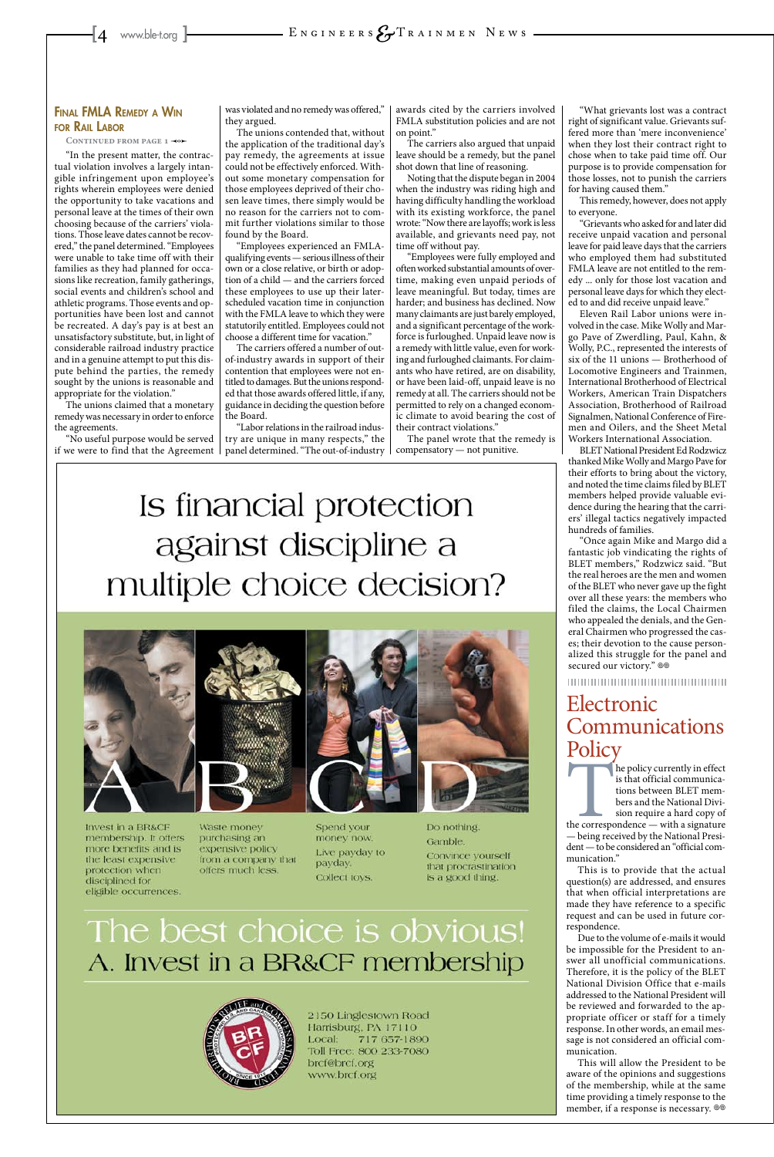"In the present matter, the contractual violation involves a largely intangible infringement upon employee's rights wherein employees were denied the opportunity to take vacations and personal leave at the times of their own choosing because of the carriers' violations. Those leave dates cannot be recovered," the panel determined. "Employees were unable to take time off with their families as they had planned for occasions like recreation, family gatherings, social events and children's school and athletic programs. Those events and opportunities have been lost and cannot be recreated. A day's pay is at best an unsatisfactory substitute, but, in light of considerable railroad industry practice and in a genuine attempt to put this dispute behind the parties, the remedy sought by the unions is reasonable and appropriate for the violation."

The unions claimed that a monetary remedy was necessary in order to enforce the agreements.

"No useful purpose would be served if we were to find that the Agreement was violated and no remedy was offered," they argued.

The unions contended that, without the application of the traditional day's pay remedy, the agreements at issue could not be effectively enforced. Without some monetary compensation for those employees deprived of their chosen leave times, there simply would be no reason for the carriers not to commit further violations similar to those found by the Board.

"Employees experienced an FMLAqualifying events — serious illness of their own or a close relative, or birth or adoption of a child — and the carriers forced these employees to use up their laterscheduled vacation time in conjunction with the FMLA leave to which they were statutorily entitled. Employees could not choose a different time for vacation."

The carriers offered a number of outof-industry awards in support of their contention that employees were not entitled to damages. But the unions responded that those awards offered little, if any, guidance in deciding the question before the Board.

"Labor relations in the railroad industry are unique in many respects," the panel determined. "The out-of-industry awards cited by the carriers involved FMLA substitution policies and are not on point."

The carriers also argued that unpaid leave should be a remedy, but the panel shot down that line of reasoning.

> "Once again Mike and Margo did a fantastic job vindicating the rights of BLET members," Rodzwicz said. "But the real heroes are the men and women of the BLET who never gave up the fight over all these years: the members who filed the claims, the Local Chairmen who appealed the denials, and the General Chairmen who progressed the cases; their devotion to the cause personalized this struggle for the panel and secured our victory."  $\otimes$

Noting that the dispute began in 2004 when the industry was riding high and having difficulty handling the workload with its existing workforce, the panel wrote: "Now there are layoffs; work is less available, and grievants need pay, not time off without pay.

### Electronic Communications **Policy**<br>he policy currently in effect

the policy currently in effect<br>
is that official communica-<br>
tions between BLET mem-<br>
bers and the National Divi-<br>
sion require a hard copy of<br>
the correspondence — with a signature<br>
— being received by the National Presiis that official communications between BLET members and the National Division require a hard copy of

"Employees were fully employed and often worked substantial amounts of overtime, making even unpaid periods of leave meaningful. But today, times are harder; and business has declined. Now many claimants are just barely employed, and a significant percentage of the workforce is furloughed. Unpaid leave now is a remedy with little value, even for working and furloughed claimants. For claimants who have retired, are on disability, or have been laid-off, unpaid leave is no remedy at all. The carriers should not be permitted to rely on a changed economic climate to avoid bearing the cost of their contract violations."

> This will allow the President to be aware of the opinions and suggestions of the membership, while at the same time providing a timely response to the member, if a response is necessary.  $\circledast$

The panel wrote that the remedy is compensatory — not punitive.

# Is financial protection against discipline a multiple choice decision?



Invest in a BR&CF membership. It offers more benefits and is the least expensive protection when disciplined for eligible occurrences.

Waste money purchasing an expensive polic from a company that offers much less.

Spend your money now. Do nothing. Gamble.

#### Final FMLA Remedy <sup>a</sup> Win for Rail Labor

CONTINUED FROM PAGE 1 -0

"What grievants lost was a contract right of significant value. Grievants suffered more than 'mere inconvenience' when they lost their contract right to chose when to take paid time off. Our purpose is to provide compensation for those losses, not to punish the carriers for having caused them."

This remedy, however, does not apply to everyone.

"Grievants who asked for and later did receive unpaid vacation and personal leave for paid leave days that the carriers who employed them had substituted FMLA leave are not entitled to the remedy ... only for those lost vacation and personal leave days for which they elected to and did receive unpaid leave."

Eleven Rail Labor unions were involved in the case. Mike Wolly and Margo Pave of Zwerdling, Paul, Kahn, & Wolly, P.C., represented the interests of six of the 11 unions — Brotherhood of Locomotive Engineers and Trainmen, International Brotherhood of Electrical Workers, American Train Dispatchers Association, Brotherhood of Railroad Signalmen, National Conference of Firemen and Oilers, and the Sheet Metal Workers International Association.

BLET National President Ed Rodzwicz thanked Mike Wolly and Margo Pave for their efforts to bring about the victory, and noted the time claims filed by BLET members helped provide valuable evidence during the hearing that the carriers' illegal tactics negatively impacted hundreds of families.

— being received by the National President — to be considered an "official com-

Live payday to payday. Collect toys.

Convince yourself that procrastination is a good thing.

## The best choice is obvious! A. Invest in a BR&CF membership



2150 Linglestown Road Harrisburg, PA 17110 Local: 717 657-1890 Toll Free: 800 233-7080 brcf@brcf.org www.brcf.org

munication."

This is to provide that the actual question(s) are addressed, and ensures that when official interpretations are made they have reference to a specific request and can be used in future correspondence.

Due to the volume of e-mails it would be impossible for the President to answer all unofficial communications. Therefore, it is the policy of the BLET National Division Office that e-mails addressed to the National President will be reviewed and forwarded to the appropriate officer or staff for a timely response. In other words, an email message is not considered an official communication.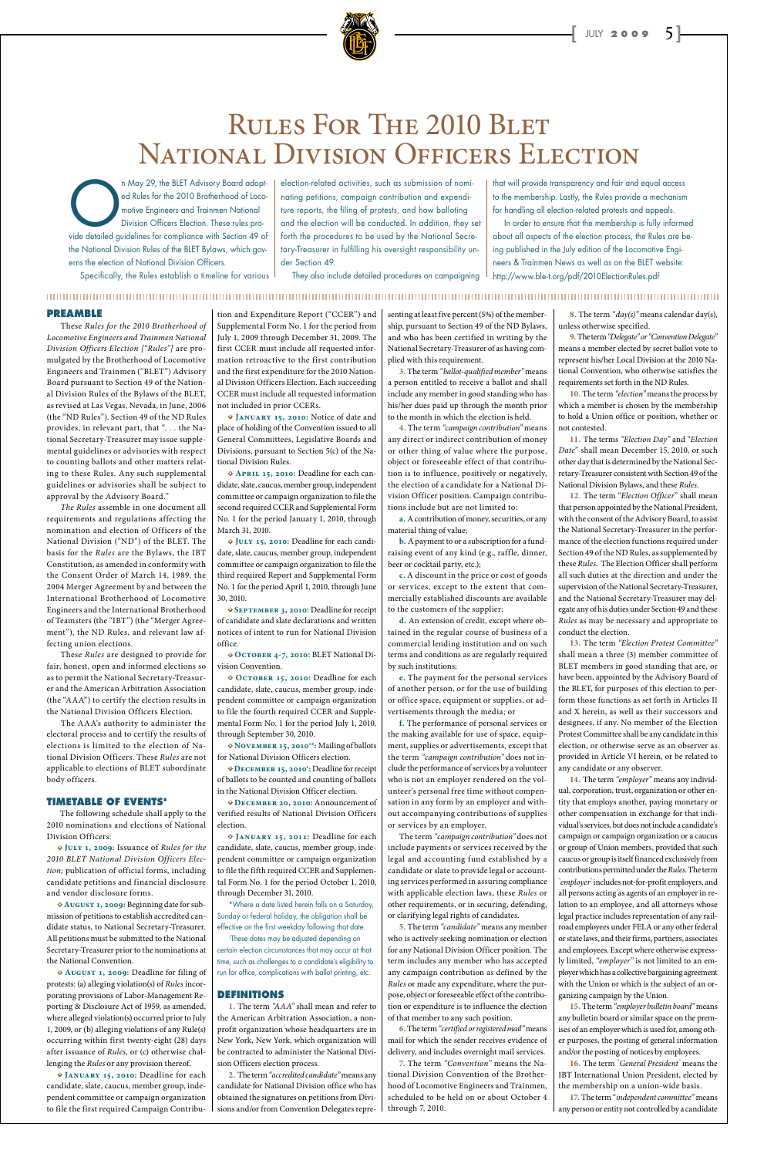

## RULES FOR THE 2010 BLET NATIONAL DIVISION OFFICERS ELECTION

#### **PREAMBLE**

 These *Rules for the 2010 Brotherhood of Locomotive Engineers and Trainmen National Division Officers Election ["Rules"]* are promulgated by the Brotherhood of Locomotive Engineers and Trainmen ("BLET") Advisory Board pursuant to Section 49 of the National Division Rules of the Bylaws of the BLET, as revised at Las Vegas, Nevada, in June, 2006 (the "ND Rules"). Section 49 of the ND Rules provides, in relevant part, that ". . . the National Secretary-Treasurer may issue supplemental guidelines or advisories with respect to counting ballots and other matters relating to these Rules. Any such supplemental guidelines or advisories shall be subject to approval by the Advisory Board."

 *The Rules* assemble in one document all requirements and regulations affecting the nomination and election of Officers of the National Division ("ND") of the BLET. The basis for the *Rules* are the Bylaws, the IBT Constitution, as amended in conformity with the Consent Order of March 14, 1989, the 2004 Merger Agreement by and between the International Brotherhood of Locomotive Engineers and the International Brotherhood of Teamsters (the "IBT") (the "Merger Agreement"), the ND Rules, and relevant law affecting union elections.

 These *Rules* are designed to provide for fair, honest, open and informed elections so as to permit the National Secretary-Treasurer and the American Arbitration Association (the "AAA") to certify the election results in the National Division Officers Election.

 The AAA's authority to administer the electoral process and to certify the results of elections is limited to the election of National Division Officers. These *Rules* are not applicable to elections of BLET subordinate body officers.

#### **TIMETABLE OF EVENTS\***

 The following schedule shall apply to the 2010 nominations and elections of National Division Officers:

**• July 1, 2009**: Issuance of *Rules for the* 

*2010 BLET National Division Officers Election;* publication of official forms, including candidate petitions and financial disclosure and vendor disclosure forms.

**• August 1, 2009:** Beginning date for submission of petitions to establish accredited candidate status, to National Secretary-Treasurer. All petitions must be submitted to the National Secretary-Treasurer prior to the nominations at the National Convention.

**• August 1, 2009:** Deadline for filing of protests: (a) alleging violation(s) of *Rules* incorporating provisions of Labor-Management Reporting & Disclosure Act of 1959, as amended, where alleged violation(s) occurred prior to July 1, 2009, or (b) alleging violations of any Rule(s) occurring within first twenty-eight (28) days after issuance of *Rules*, or (c) otherwise challenging the *Rules* or any provision thereof.

**• January 15, 2010:** Deadline for each candidate, slate, caucus, member group, independent committee or campaign organization to file the first required Campaign Contribution and Expenditure Report ("CCER") and Supplemental Form No. 1 for the period from July 1, 2009 through December 31, 2009. The first CCER must include all requested information retroactive to the first contribution and the first expenditure for the 2010 National Division Officers Election. Each succeeding CCER must include all requested information not included in prior CCERs.

**• January 15, 2010:** Notice of date and place of holding of the Convention issued to all General Committees, Legislative Boards and Divisions, pursuant to Section 5(c) of the National Division Rules.

**• April 15, 2010:** Deadline for each candidate, slate, caucus, member group, independent committee or campaign organization to file the second required CCER and Supplemental Form No. 1 for the period January 1, 2010, through March 31, 2010.

**• July 15, 2010:** Deadline for each candidate, slate, caucus, member group, independent committee or campaign organization to file the third required Report and Supplemental Form No. 1 for the period April 1, 2010, through June 30, 2010.

**• September 3, 2010:** Deadline for receipt of candidate and slate declarations and written notices of intent to run for National Division office.

**• October 4-7, 2010:** BLET National Division Convention.

**• October 15, 2010:** Deadline for each candidate, slate, caucus, member group, independent committee or campaign organization to file the fourth required CCER and Supplemental Form No. 1 for the period July 1, 2010, through September 30, 2010.

**• November 15, 20101 \*:** Mailing of ballots for National Division Officers election.

**• December 15, 20101 :** Deadline for receipt of ballots to be counted and counting of ballots in the National Division Officer election.

**• December 20, 2010:** Announcement of verified results of National Division Officers election.

**• January 15, 2011:** Deadline for each candidate, slate, caucus, member group, independent committee or campaign organization to file the fifth required CCER and Supplemental Form No. 1 for the period October 1, 2010, through December 31, 2010. \*Where a date listed herein falls on a Saturday, Sunday or federal holiday, the obligation shall be effective on the first weekday following that date. 1 These dates may be adjusted depending on certain election circumstances that may occur at that time, such as challenges to a candidate's eligibility to run for office, complications with ballot printing, etc.

#### **DEFINITIONS**

**1.** The term *"AAA"* shall mean and refer to the American Arbitration Association, a nonprofit organization whose headquarters are in New York, New York, which organization will be contracted to administer the National Division Officers election process.

**2.** The term *"accredited candidate"* means any candidate for National Division office who has obtained the signatures on petitions from Divisions and/or from Convention Delegates repre-

senting at least five percent (5%) of the membership, pursuant to Section 49 of the ND Bylaws, and who has been certified in writing by the National Secretary-Treasurer of as having complied with this requirement.

**3.** The term *"ballot-qualified member"* means a person entitled to receive a ballot and shall include any member in good standing who has his/her dues paid up through the month prior to the month in which the election is held.

n May 29, the BLET Advisory Board adopted Rules for the 2010 Brotherhood of Locomotive Engineers and Trainmen National Division Officers Election. These rules provide detailed guidelines for compliance with Section 49 of ed Rules for the 2010 Brotherhood of Locomotive Engineers and Trainmen National Division Officers Election. These rules prothe National Division Rules of the BLET Bylaws, which governs the election of National Division Officers.

> **4.** The term *"campaign contribution"* means any direct or indirect contribution of money or other thing of value where the purpose, object or foreseeable effect of that contribution is to influence, positively or negatively, the election of a candidate for a National Division Officer position. Campaign contributions include but are not limited to:

> **a.** A contribution of money, securities, or any material thing of value;

> **b.** A payment to or a subscription for a fundraising event of any kind (e.g., raffle, dinner, beer or cocktail party, etc.);

> **c.** A discount in the price or cost of goods or services, except to the extent that commercially established discounts are available to the customers of the supplier;

> **d.** An extension of credit, except where obtained in the regular course of business of a commercial lending institution and on such terms and conditions as are regularly required by such institutions;

> **e.** The payment for the personal services of another person, or for the use of building or office space, equipment or supplies, or advertisements through the media; or

> **f.** The performance of personal services or the making available for use of space, equipment, supplies or advertisements, except that the term *"campaign contribution"* does not include the performance of services by a volunteer who is not an employer rendered on the volunteer's personal free time without compensation in any form by an employer and without accompanying contributions of supplies or services by an employer.

The term *"campaign contribution"* does not include payments or services received by the legal and accounting fund established by a candidate or slate to provide legal or accounting services performed in assuring compliance with applicable election laws, these *Rules* or other requirements, or in securing, defending, or clarifying legal rights of candidates. **5.** The term *"candidate"* means any member who is actively seeking nomination or election for any National Division Officer position. The term includes any member who has accepted any campaign contribution as defined by the *Rules* or made any expenditure, where the purpose, object or foreseeable effect of the contribution or expenditure is to influence the election of that member to any such position. **6.** The term *"certified or registered mail"* means mail for which the sender receives evidence of delivery, and includes overnight mail services. **7.** The term *"Convention"* means the National Division Convention of the Brotherhood of Locomotive Engineers and Trainmen, scheduled to be held on or about October 4 through 7, 2010.

**8.** The term *"day(s)"* means calendar day(s), unless otherwise specified.

**9.** The term *"Delegate" or "Convention Delegate"*  means a member elected by secret ballot vote to represent his/her Local Division at the 2010 National Convention, who otherwise satisfies the requirements set forth in the ND Rules.

**10.** The term *"election"* means the process by which a member is chosen by the membership to hold a Union office or position, whether or not contested.

**11.** The terms *"Election Day"* and "*Election Date*" shall mean December 15, 2010, or such other day that is determined by the National Secretary-Treasurer consistent with Section 49 of the National Division Bylaws, and these *Rules*.

**12.** The term "*Election Officer*" shall mean that person appointed by the National President, with the consent of the Advisory Board, to assist the National Secretary-Treasurer in the performance of the election functions required under Section 49 of the ND Rules, as supplemented by these *Rules*. The Election Officer shall perform all such duties at the direction and under the supervision of the National Secretary-Treasurer, and the National Secretary-Treasurer may delegate any of his duties under Section 49 and these *Rules* as may be necessary and appropriate to conduct the election.

**13.** The term *"Election Protest Committee"* shall mean a three (3) member committee of BLET members in good standing that are, or have been, appointed by the Advisory Board of the BLET, for purposes of this election to perform those functions as set forth in Articles II and X herein, as well as their successors and designees, if any. No member of the Election Protest Committee shall be any candidate in this election, or otherwise serve as an observer as provided in Article VI herein, or be related to any candidate or any observer.

**14.** The term *"employer"* means any individual, corporation, trust, organization or other entity that employs another, paying monetary or other compensation in exchange for that individual's services, but does not include a candidate's campaign or campaign organization or a caucus or group of Union members, provided that such caucus or group is itself financed exclusively from contributions permitted under the *Rules.* The term *" employer"* includes not-for-profit employers, and all persons acting as agents of an employer in relation to an employee, and all attorneys whose legal practice includes representation of any railroad employees under FELA or any other federal or state laws, and their firms, partners, associates and employees. Except where otherwise expressly limited, *"employer"* is not limited to an employer which has a collective bargaining agreement with the Union or which is the subject of an organizing campaign by the Union.

**15.** The term *"employer bulletin board"* means any bulletin board or similar space on the premises of an employer which is used for, among other purposes, the posting of general information and/or the posting of notices by employees.

**16.** The term " *General President"* means the IBT International Union President, elected by the membership on a union-wide basis.

**17.** The term "*independent committee*" means any person or entity not controlled by a candidate

Specifically, the Rules establish a timeline for various

election-related activities, such as submission of nominating petitions, campaign contribution and expenditure reports, the filing of protests, and how balloting and the election will be conducted. In addition, they set forth the procedures to be used by the National Secretary-Treasurer in fulfilling his oversight responsibility under Section 49.

They also include detailed procedures on campaigning

#### 

that will provide transparency and fair and equal access to the membership. Lastly, the Rules provide a mechanism for handling all election-related protests and appeals.

In order to ensure that the membership is fully informed about all aspects of the election process, the Rules are being published in the July edition of the Locomotive Engineers & Trainmen News as well as on the BLET website: http://www.ble-t.org/pdf/2010ElectionRules.pdf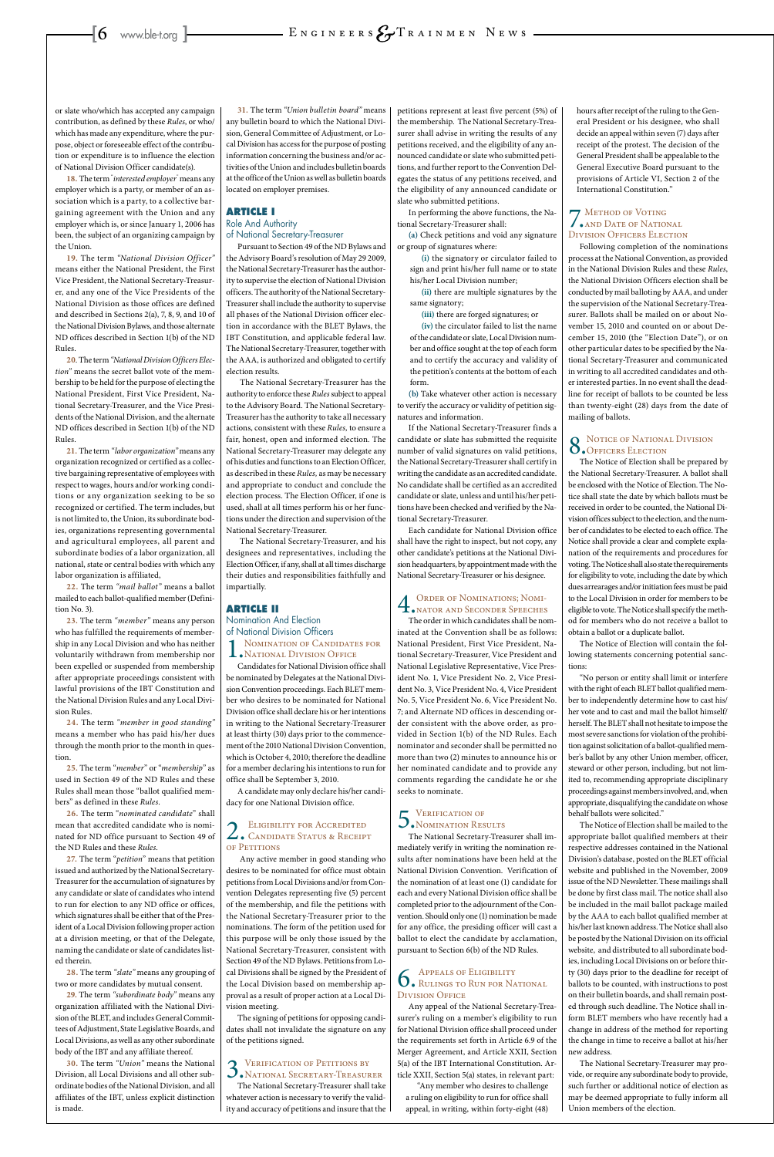or slate who/which has accepted any campaign contribution, as defined by these *Rules*, or who/ which has made any expenditure, where the purpose, object or foreseeable effect of the contribution or expenditure is to influence the election of National Division Officer candidate(s).

**18.** The term " *interested employer"* means any employer which is a party, or member of an association which is a party, to a collective bargaining agreement with the Union and any employer which is, or since January 1, 2006 has been, the subject of an organizing campaign by the Union.

**19.** The term *"National Division Officer"*  means either the National President, the First Vice President, the National Secretary-Treasurer, and any one of the Vice Presidents of the National Division as those offices are defined and described in Sections 2(a), 7, 8, 9, and 10 of the National Division Bylaws, and those alternate ND offices described in Section 1(b) of the ND Rules.

**20**. The term *"National Division Officers Election"* means the secret ballot vote of the membership to be held for the purpose of electing the National President, First Vice President, National Secretary-Treasurer, and the Vice Presidents of the National Division, and the alternate ND offices described in Section 1(b) of the ND Rules.

**21.** The term *"labor organization"* means any organization recognized or certified as a collective bargaining representative of employees with respect to wages, hours and/or working conditions or any organization seeking to be so recognized or certified. The term includes, but is not limited to, the Union, its subordinate bodies, organizations representing governmental and agricultural employees, all parent and subordinate bodies of a labor organization, all national, state or central bodies with which any labor organization is affiliated,

**22.** The term *"mail ballot"* means a ballot mailed to each ballot-qualified member (Definition No. 3).

**23.** The term *"member"* means any person who has fulfilled the requirements of membership in any Local Division and who has neither voluntarily withdrawn from membership nor been expelled or suspended from membership after appropriate proceedings consistent with lawful provisions of the IBT Constitution and the National Division Rules and any Local Division Rules.

**24.** The term *"member in good standing"*  means a member who has paid his/her dues through the month prior to the month in question.

**25.** The term "*member*" or "*membership*" as used in Section 49 of the ND Rules and these Rules shall mean those "ballot qualified members" as defined in these *Rules*.

**26.** The term "*nominated candidate*" shall mean that accredited candidate who is nominated for ND office pursuant to Section 49 of the ND Rules and these *Rules*.

**27.** The term "*petition*" means that petition issued and authorized by the National Secretary-Treasurer for the accumulation of signatures by any candidate or slate of candidates who intend to run for election to any ND office or offices, which signatures shall be either that of the President of a Local Division following proper action at a division meeting, or that of the Delegate, naming the candidate or slate of candidates listed therein.

### 2. ELIGIBILITY FOR ACCREDITED<br>
CANDIDATE STATUS & RECEIPT of Petitions

**28.** The term *"slate"* means any grouping of two or more candidates by mutual consent.

**29.** The term *"subordinate body"* means any organization affiliated with the National Division of the BLET, and includes General Committees of Adjustment, State Legislative Boards, and Local Divisions, as well as any other subordinate body of the IBT and any affiliate thereof.

**30.** The term *"Union"* means the National Division, all Local Divisions and all other subordinate bodies of the National Division, and all affiliates of the IBT, unless explicit distinction is made.

**31.** The term *"Union bulletin board"* means any bulletin board to which the National Division, General Committee of Adjustment, or Local Division has access for the purpose of posting information concerning the business and/or activities of the Union and includes bulletin boards at the office of the Union as well as bulletin boards located on employer premises.

#### **ARTICLE I**

#### Role And Authority of National Secretary-Treasurer

Pursuant to Section 49 of the ND Bylaws and the Advisory Board's resolution of May 29 2009, the National Secretary-Treasurer has the authority to supervise the election of National Division officers. The authority of the National Secretary-Treasurer shall include the authority to supervise all phases of the National Division officer election in accordance with the BLET Bylaws, the IBT Constitution, and applicable federal law. The National Secretary-Treasurer, together with the AAA, is authorized and obligated to certify election results.

 The National Secretary-Treasurer has the authority to enforce these *Rules* subject to appeal to the Advisory Board*.* The National Secretary-Treasurer has the authority to take all necessary actions, consistent with these *Rules,* to ensure a fair, honest, open and informed election. The National Secretary-Treasurer may delegate any of his duties and functions to an Election Officer, as described in these *Rules,* as may be necessary and appropriate to conduct and conclude the election process. The Election Officer, if one is used, shall at all times perform his or her functions under the direction and supervision of the National Secretary-Treasurer.

 The National Secretary-Treasurer, and his designees and representatives, including the Election Officer, if any, shall at all times discharge their duties and responsibilities faithfully and impartially.

#### **ARTICLE II**

### Nomination And Election of National Division Officers

1. Nomination of Candidates for<br>
NATIONAL DIVISION OFFICE

#### **7** METHOD OF VOTING<br>NAND DATE OF NATION and Date of National Division Officers Election

Candidates for National Division office shall be nominated by Delegates at the National Division Convention proceedings. Each BLET member who desires to be nominated for National Division office shall declare his or her intentions in writing to the National Secretary-Treasurer at least thirty (30) days prior to the commencement of the 2010 National Division Convention, which is October 4, 2010; therefore the deadline for a member declaring his intentions to run for office shall be September 3, 2010.

A candidate may only declare his/her candidacy for one National Division office.

 Any active member in good standing who desires to be nominated for office must obtain petitions from Local Divisions and/or from Convention Delegates representing five (5) percent of the membership, and file the petitions with the National Secretary-Treasurer prior to the nominations. The form of the petition used for this purpose will be only those issued by the National Secretary-Treasurer, consistent with Section 49 of the ND Bylaws. Petitions from Local Divisions shall be signed by the President of the Local Division based on membership approval as a result of proper action at a Local Division meeting.

The signing of petitions for opposing candidates shall not invalidate the signature on any of the petitions signed.

## 3. VERIFICATION OF PETITIONS BY<br>NATIONAL SECRETARY-TREASURER

The National Secretary-Treasurer shall take whatever action is necessary to verify the validity and accuracy of petitions and insure that the

### 6. Appeals of Eligibility<br>Rulings to Run for National<br>Runness Origin DIVISION OFFICE

petitions represent at least five percent (5%) of the membership. The National Secretary-Treasurer shall advise in writing the results of any petitions received, and the eligibility of any announced candidate or slate who submitted petitions, and further report to the Convention Delegates the status of any petitions received, and the eligibility of any announced candidate or slate who submitted petitions.

In performing the above functions, the National Secretary-Treasurer shall:

**(a)** Check petitions and void any signature or group of signatures where:

**(i)** the signatory or circulator failed to sign and print his/her full name or to state his/her Local Division number;

**(ii)** there are multiple signatures by the same signatory;

**(iii)** there are forged signatures; or

**(iv)** the circulator failed to list the name of the candidate or slate, Local Division number and office sought at the top of each form and to certify the accuracy and validity of the petition's contents at the bottom of each form.

**(b)** Take whatever other action is necessary to verify the accuracy or validity of petition signatures and information.

If the National Secretary-Treasurer finds a candidate or slate has submitted the requisite number of valid signatures on valid petitions, the National Secretary-Treasurer shall certify in writing the candidate as an accredited candidate. No candidate shall be certified as an accredited candidate or slate, unless and until his/her petitions have been checked and verified by the National Secretary-Treasurer.

Each candidate for National Division office shall have the right to inspect, but not copy, any other candidate's petitions at the National Division headquarters, by appointment made with the National Secretary-Treasurer or his designee.

## 4.Order of Nominations; Nomi-nator and Seconder Speeches

The order in which candidates shall be nominated at the Convention shall be as follows: National President, First Vice President, National Secretary-Treasurer, Vice President and National Legislative Representative, Vice President No. 1, Vice President No. 2, Vice President No. 3, Vice President No. 4, Vice President No. 5, Vice President No. 6, Vice President No. 7; and Alternate ND offices in descending order consistent with the above order, as provided in Section 1(b) of the ND Rules. Each nominator and seconder shall be permitted no more than two (2) minutes to announce his or her nominated candidate and to provide any comments regarding the candidate he or she seeks to nominate.

### 5. VERIFICATION OF<br>5. NOMINATION RESULTS

The National Secretary-Treasurer shall immediately verify in writing the nomination results after nominations have been held at the National Division Convention. Verification of the nomination of at least one (1) candidate for each and every National Division office shall be completed prior to the adjournment of the Convention. Should only one (1) nomination be made for any office, the presiding officer will cast a ballot to elect the candidate by acclamation, pursuant to Section 6(b) of the ND Rules.

Any appeal of the National Secretary-Treasurer's ruling on a member's eligibility to run for National Division office shall proceed under the requirements set forth in Article 6.9 of the Merger Agreement, and Article XXII, Section 5(a) of the IBT International Constitution. Article XXII, Section 5(a) states, in relevant part:

"Any member who desires to challenge a ruling on eligibility to run for office shall appeal, in writing, within forty-eight (48) hours after receipt of the ruling to the General President or his designee, who shall decide an appeal within seven (7) days after receipt of the protest. The decision of the General President shall be appealable to the General Executive Board pursuant to the provisions of Article VI, Section 2 of the International Constitution."

Following completion of the nominations process at the National Convention, as provided in the National Division Rules and these *Rules*, the National Division Officers election shall be conducted by mail balloting by AAA, and under the supervision of the National Secretary-Treasurer. Ballots shall be mailed on or about November 15, 2010 and counted on or about December 15, 2010 (the "Election Date"), or on other particular dates to be specified by the National Secretary-Treasurer and communicated in writing to all accredited candidates and other interested parties. In no event shall the deadline for receipt of ballots to be counted be less than twenty-eight (28) days from the date of mailing of ballots.

## 8. Notice of National Division<br>
S. Officers Election

The Notice of Election shall be prepared by the National Secretary-Treasurer. A ballot shall be enclosed with the Notice of Election. The Notice shall state the date by which ballots must be received in order to be counted, the National Division offices subject to the election, and the number of candidates to be elected to each office. The Notice shall provide a clear and complete explanation of the requirements and procedures for voting. The Notice shall also state the requirements for eligibility to vote, including the date by which dues arrearages and/or initiation fees must be paid to the Local Division in order for members to be eligible to vote. The Notice shall specify the method for members who do not receive a ballot to obtain a ballot or a duplicate ballot.

The Notice of Election will contain the following statements concerning potential sanctions:

"No person or entity shall limit or interfere with the right of each BLET ballot qualified member to independently determine how to cast his/ her vote and to cast and mail the ballot himself/ herself. The BLET shall not hesitate to impose the most severe sanctions for violation of the prohibition against solicitation of a ballot-qualified member's ballot by any other Union member, officer, steward or other person, including, but not limited to, recommending appropriate disciplinary proceedings against members involved, and, when appropriate, disqualifying the candidate on whose behalf ballots were solicited."

The Notice of Election shall be mailed to the appropriate ballot qualified members at their respective addresses contained in the National Division's database, posted on the BLET official website and published in the November, 2009 issue of the ND Newsletter. These mailings shall be done by first class mail. The notice shall also be included in the mail ballot package mailed by the AAA to each ballot qualified member at his/her last known address. The Notice shall also be posted by the National Division on its official website, and distributed to all subordinate bodies, including Local Divisions on or before thirty (30) days prior to the deadline for receipt of ballots to be counted, with instructions to post on their bulletin boards, and shall remain posted through such deadline. The Notice shall inform BLET members who have recently had a change in address of the method for reporting the change in time to receive a ballot at his/her new address.

The National Secretary-Treasurer may provide, or require any subordinate body to provide, such further or additional notice of election as may be deemed appropriate to fully inform all Union members of the election.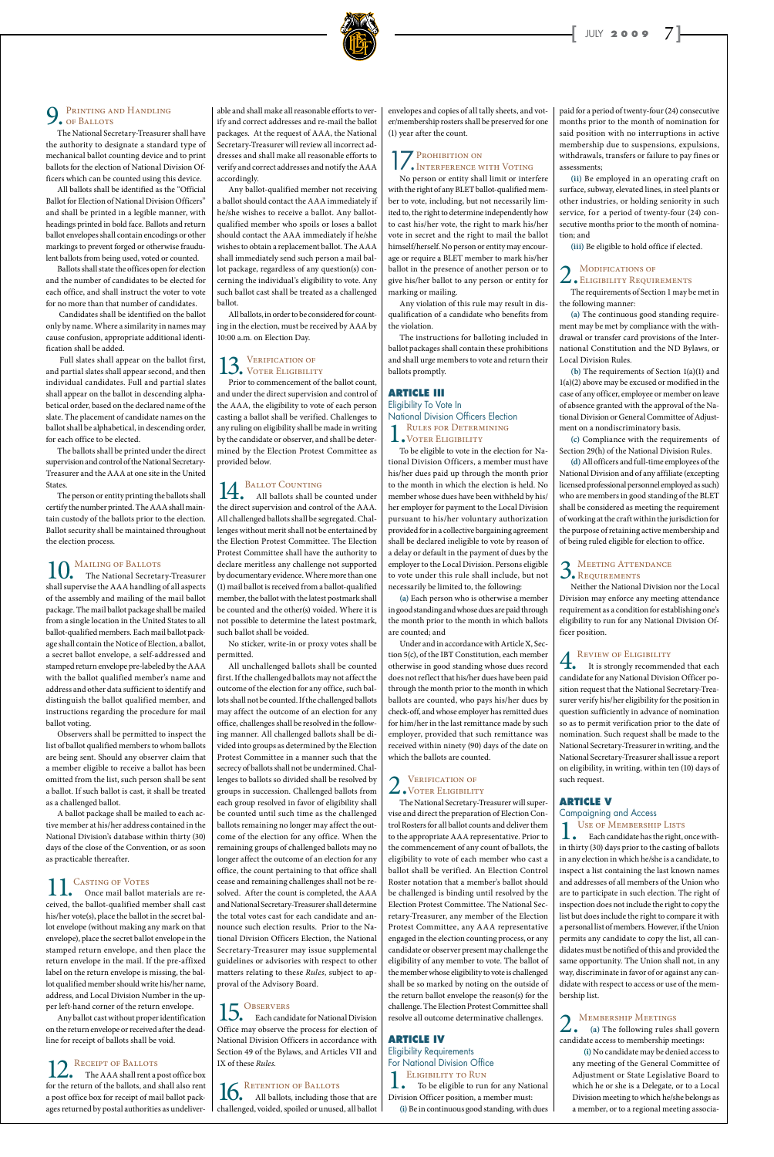### 9. Printing and Handling of Ballots

The National Secretary-Treasurer shall have the authority to designate a standard type of mechanical ballot counting device and to print ballots for the election of National Division Officers which can be counted using this device.

All ballots shall be identified as the "Official Ballot for Election of National Division Officers" and shall be printed in a legible manner, with headings printed in bold face. Ballots and return ballot envelopes shall contain encodings or other markings to prevent forged or otherwise fraudulent ballots from being used, voted or counted.

Ballots shall state the offices open for election and the number of candidates to be elected for each office, and shall instruct the voter to vote for no more than that number of candidates.

 Candidates shall be identified on the ballot only by name. Where a similarity in names may cause confusion, appropriate additional identification shall be added.

 Full slates shall appear on the ballot first, and partial slates shall appear second, and then individual candidates. Full and partial slates shall appear on the ballot in descending alphabetical order, based on the declared name of the slate. The placement of candidate names on the ballot shall be alphabetical, in descending order, for each office to be elected.

The ballots shall be printed under the direct supervision and control of the National Secretary-Treasurer and the AAA at one site in the United States.

The person or entity printing the ballots shall certify the number printed. The AAA shall maintain custody of the ballots prior to the election. Ballot security shall be maintained throughout the election process.

### 10. MAILING OF BALLOTS<br>The National Secretar

12. RECEIPT OF BALLOTS<br>The AAA shall rent a post office box for the return of the ballots, and shall also rent a post office box for receipt of mail ballot packages returned by postal authorities as undeliver-

### 15. OBSERVERS

The National Secretary-Treasurer shall supervise the AAA handling of all aspects of the assembly and mailing of the mail ballot package. The mail ballot package shall be mailed from a single location in the United States to all ballot-qualified members. Each mail ballot package shall contain the Notice of Election, a ballot, a secret ballot envelope, a self-addressed and stamped return envelope pre-labeled by the AAA with the ballot qualified member's name and address and other data sufficient to identify and distinguish the ballot qualified member, and instructions regarding the procedure for mail ballot voting.

Observers shall be permitted to inspect the list of ballot qualified members to whom ballots are being sent. Should any observer claim that a member eligible to receive a ballot has been omitted from the list, such person shall be sent a ballot. If such ballot is cast, it shall be treated as a challenged ballot.

A ballot package shall be mailed to each active member at his/her address contained in the National Division's database within thirty (30) days of the close of the Convention, or as soon

14. BALLOT COUNTING<br>All ballots shall be counted under the direct supervision and control of the AAA. All challenged ballots shall be segregated. Challenges without merit shall not be entertained by the Election Protest Committee. The Election Protest Committee shall have the authority to declare meritless any challenge not supported by documentary evidence. Where more than one (1) mail ballot is received from a ballot-qualified member, the ballot with the latest postmark shall be counted and the other(s) voided. Where it is not possible to determine the latest postmark, such ballot shall be voided.

as practicable thereafter.

### CASTING OF VOTES

Once mail ballot materials are received, the ballot-qualified member shall cast his/her vote(s), place the ballot in the secret ballot envelope (without making any mark on that envelope), place the secret ballot envelope in the stamped return envelope, and then place the return envelope in the mail. If the pre-affixed label on the return envelope is missing, the ballot qualified member should write his/her name, address, and Local Division Number in the upper left-hand corner of the return envelope.

Any ballot cast without proper identification on the return envelope or received after the deadline for receipt of ballots shall be void.

> 16. RETENTION OF BALLOTS<br>All ballots, including those that are challenged, voided, spoiled or unused, all ballot

able and shall make all reasonable efforts to verify and correct addresses and re-mail the ballot packages. At the request of AAA, the National Secretary-Treasurer will review all incorrect addresses and shall make all reasonable efforts to verify and correct addresses and notify the AAA accordingly.

Any ballot-qualified member not receiving a ballot should contact the AAA immediately if he/she wishes to receive a ballot. Any ballotqualified member who spoils or loses a ballot should contact the AAA immediately if he/she wishes to obtain a replacement ballot. The AAA shall immediately send such person a mail ballot package, regardless of any question(s) concerning the individual's eligibility to vote. Any such ballot cast shall be treated as a challenged ballot.

All ballots, in order to be considered for counting in the election, must be received by AAA by 10:00 a.m. on Election Day.

### 13. VERIFICATION OF

Prior to commencement of the ballot count, and under the direct supervision and control of the AAA, the eligibility to vote of each person casting a ballot shall be verified. Challenges to any ruling on eligibility shall be made in writing by the candidate or observer, and shall be determined by the Election Protest Committee as provided below.

#### **ARTICLE IV** Eligibility Requirements For National Division Office **ELIGIBILITY TO RUN**

No sticker, write-in or proxy votes shall be permitted.

All unchallenged ballots shall be counted first. If the challenged ballots may not affect the outcome of the election for any office, such ballots shall not be counted. If the challenged ballots may affect the outcome of an election for any office, challenges shall be resolved in the following manner. All challenged ballots shall be divided into groups as determined by the Election Protest Committee in a manner such that the secrecy of ballots shall not be undermined. Challenges to ballots so divided shall be resolved by groups in succession. Challenged ballots from each group resolved in favor of eligibility shall be counted until such time as the challenged ballots remaining no longer may affect the outcome of the election for any office. When the remaining groups of challenged ballots may no longer affect the outcome of an election for any office, the count pertaining to that office shall cease and remaining challenges shall not be resolved. After the count is completed, the AAA and National Secretary-Treasurer shall determine the total votes cast for each candidate and announce such election results. Prior to the National Division Officers Election, the National Secretary-Treasurer may issue supplemental guidelines or advisories with respect to other matters relating to these *Rules*, subject to approval of the Advisory Board*.*

**4.** REVIEW OF ELIGIBILITY<br>
It is strongly recommended that each<br>  $\frac{1}{2}$ candidate for any National Division Officer position request that the National Secretary-Treasurer verify his/her eligibility for the position in question sufficiently in advance of nomination so as to permit verification prior to the date of nomination. Such request shall be made to the National Secretary-Treasurer in writing, and the National Secretary-Treasurer shall issue a report on eligibility, in writing, within ten (10) days of such request.

#### Campaigning and Access USE OF MEMBERSHIP LISTS

Each candidate for National Division Office may observe the process for election of National Division Officers in accordance with Section 49 of the Bylaws, and Articles VII and IX of these *Rules.*

envelopes and copies of all tally sheets, and voter/membership rosters shall be preserved for one (1) year after the count.

### **17.** Prohibition on **Interference with Voting**

No person or entity shall limit or interfere with the right of any BLET ballot-qualified member to vote, including, but not necessarily limited to, the right to determine independently how to cast his/her vote, the right to mark his/her vote in secret and the right to mail the ballot himself/herself. No person or entity may encourage or require a BLET member to mark his/her ballot in the presence of another person or to give his/her ballot to any person or entity for marking or mailing.

Any violation of this rule may result in disqualification of a candidate who benefits from the violation.

The instructions for balloting included in ballot packages shall contain these prohibitions and shall urge members to vote and return their ballots promptly.

#### **ARTICLE III**

Eligibility To Vote In National Division Officers Election RULES FOR DETERMINING Voter Eligibility

To be eligible to vote in the election for National Division Officers, a member must have his/her dues paid up through the month prior to the month in which the election is held. No member whose dues have been withheld by his/ her employer for payment to the Local Division pursuant to his/her voluntary authorization provided for in a collective bargaining agreement shall be declared ineligible to vote by reason of a delay or default in the payment of dues by the employer to the Local Division. Persons eligible to vote under this rule shall include, but not necessarily be limited to, the following:

**(a)** Each person who is otherwise a member in good standing and whose dues are paid through the month prior to the month in which ballots are counted; and

Under and in accordance with Article X, Section 5(c), of the IBT Constitution, each member otherwise in good standing whose dues record does not reflect that his/her dues have been paid through the month prior to the month in which ballots are counted, who pays his/her dues by check-off, and whose employer has remitted dues for him/her in the last remittance made by such employer, provided that such remittance was received within ninety (90) days of the date on which the ballots are counted.

## 2. VERIFICATION OF<br>
WOTER ELIGIBILITY

The National Secretary-Treasurer will supervise and direct the preparation of Election Control Rosters for all ballot counts and deliver them to the appropriate AAA representative. Prior to the commencement of any count of ballots, the eligibility to vote of each member who cast a ballot shall be verified. An Election Control Roster notation that a member's ballot should be challenged is binding until resolved by the Election Protest Committee. The National Secretary-Treasurer, any member of the Election Protest Committee, any AAA representative engaged in the election counting process, or any candidate or observer present may challenge the eligibility of any member to vote. The ballot of the member whose eligibility to vote is challenged shall be so marked by noting on the outside of the return ballot envelope the reason(s) for the challenge. The Election Protest Committee shall resolve all outcome determinative challenges.

To be eligible to run for any National Division Officer position, a member must: **(i)** Be in continuous good standing, with dues paid for a period of twenty-four (24) consecutive months prior to the month of nomination for said position with no interruptions in active membership due to suspensions, expulsions, withdrawals, transfers or failure to pay fines or assessments;

**(ii)** Be employed in an operating craft on surface, subway, elevated lines, in steel plants or other industries, or holding seniority in such service, for a period of twenty-four (24) consecutive months prior to the month of nomination; and

**(iii)** Be eligible to hold office if elected.

### 2. Modifications of<br>Eligibility Requirements

The requirements of Section 1 may be met in the following manner:

**(a)** The continuous good standing requirement may be met by compliance with the withdrawal or transfer card provisions of the International Constitution and the ND Bylaws, or Local Division Rules.

**(b)** The requirements of Section 1(a)(1) and 1(a)(2) above may be excused or modified in the case of any officer, employee or member on leave of absence granted with the approval of the National Division or General Committee of Adjustment on a nondiscriminatory basis.

**(c)** Compliance with the requirements of Section 29(h) of the National Division Rules.

**(d)** All officers and full-time employees of the National Division and of any affiliate (excepting licensed professional personnel employed as such) who are members in good standing of the BLET shall be considered as meeting the requirement of working at the craft within the jurisdiction for the purpose of retaining active membership and of being ruled eligible for election to office.

### 3. MEETING ATTENDANCE

Neither the National Division nor the Local Division may enforce any meeting attendance requirement as a condition for establishing one's eligibility to run for any National Division Officer position.

#### **ARTICLE V**

Each candidate has the right, once with-

in thirty (30) days prior to the casting of ballots in any election in which he/she is a candidate, to inspect a list containing the last known names and addresses of all members of the Union who are to participate in such election. The right of inspection does not include the right to copy the list but does include the right to compare it with a personal list of members. However, if the Union permits any candidate to copy the list, all candidates must be notified of this and provided the same opportunity. The Union shall not, in any way, discriminate in favor of or against any candidate with respect to access or use of the membership list.

2.Membership Meetings **(a)** The following rules shall govern candidate access to membership meetings:

**(i)** No candidate may be denied access to any meeting of the General Committee of Adjustment or State Legislative Board to which he or she is a Delegate, or to a Local Division meeting to which he/she belongs as a member, or to a regional meeting associa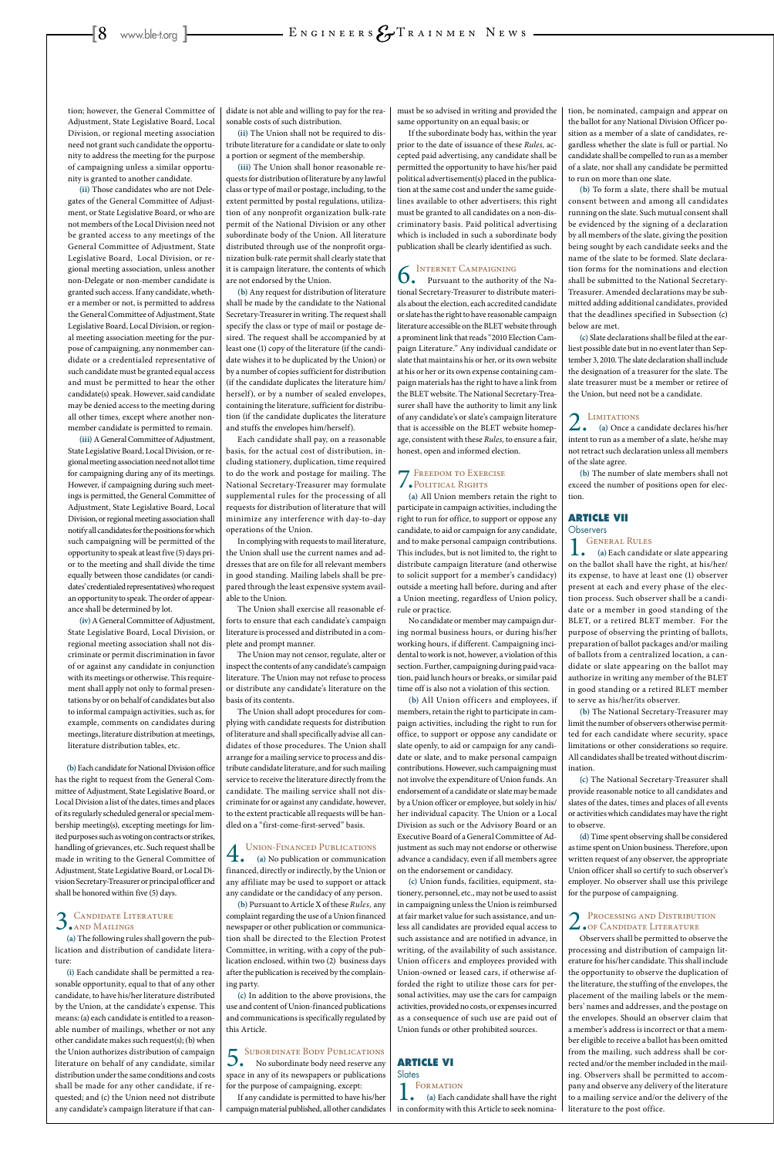tion; however, the General Committee of Adjustment, State Legislative Board, Local Division, or regional meeting association need not grant such candidate the opportunity to address the meeting for the purpose of campaigning unless a similar opportunity is granted to another candidate.

**(ii)** Those candidates who are not Delegates of the General Committee of Adjustment, or State Legislative Board, or who are not members of the Local Division need not be granted access to any meetings of the General Committee of Adjustment, State Legislative Board, Local Division, or regional meeting association, unless another non-Delegate or non-member candidate is granted such access. If any candidate, whether a member or not, is permitted to address the General Committee of Adjustment, State Legislative Board, Local Division, or regional meeting association meeting for the purpose of campaigning, any nonmember candidate or a credentialed representative of such candidate must be granted equal access and must be permitted to hear the other candidate(s) speak. However, said candidate may be denied access to the meeting during all other times, except where another nonmember candidate is permitted to remain.

**(iii)** A General Committee of Adjustment, State Legislative Board, Local Division, or regional meeting association need not allot time for campaigning during any of its meetings. However, if campaigning during such meetings is permitted, the General Committee of Adjustment, State Legislative Board, Local Division, or regional meeting association shall notify all candidates for the positions for which such campaigning will be permitted of the opportunity to speak at least five (5) days prior to the meeting and shall divide the time equally between those candidates (or candidates' credentialed representatives) who request an opportunity to speak. The order of appearance shall be determined by lot.

**(iv)** A General Committee of Adjustment, State Legislative Board, Local Division, or regional meeting association shall not discriminate or permit discrimination in favor of or against any candidate in conjunction with its meetings or otherwise. This requirement shall apply not only to formal presentations by or on behalf of candidates but also to informal campaign activities, such as, for example, comments on candidates during meetings, literature distribution at meetings, literature distribution tables, etc.

**(b)** Each candidate for National Division office has the right to request from the General Committee of Adjustment, State Legislative Board, or Local Division a list of the dates, times and places of its regularly scheduled general or special membership meeting(s), excepting meetings for limited purposes such as voting on contracts or strikes, handling of grievances, etc. Such request shall be made in writing to the General Committee of Adjustment, State Legislative Board, or Local Division Secretary-Treasurer or principal officer and shall be honored within five (5) days.

**(a)** The following rules shall govern the publication and distribution of candidate literature:

**(i)** Each candidate shall be permitted a reasonable opportunity, equal to that of any other candidate, to have his/her literature distributed by the Union, at the candidate's expense. This means: (a) each candidate is entitled to a reasonable number of mailings, whether or not any other candidate makes such request(s); (b) when the Union authorizes distribution of campaign literature on behalf of any candidate, similar distribution under the same conditions and costs shall be made for any other candidate, if requested; and (c) the Union need not distribute any candidate's campaign literature if that can-

**4.** UNION-FINANCED PUBLICATIONS<br>(a) No publication or communication **(a)** No publication or communication financed, directly or indirectly, by the Union or any affiliate may be used to support or attack any candidate or the candidacy of any person. **(b)** Pursuant to Article X of these *Rules,* any complaint regarding the use of a Union financed newspaper or other publication or communication shall be directed to the Election Protest Committee, in writing, with a copy of the publication enclosed, within two (2) business days after the publication is received by the complaining party.

didate is not able and willing to pay for the reasonable costs of such distribution.

**(ii)** The Union shall not be required to distribute literature for a candidate or slate to only a portion or segment of the membership.

**(iii)** The Union shall honor reasonable requests for distribution of literature by any lawful class or type of mail or postage, including, to the extent permitted by postal regulations, utilization of any nonprofit organization bulk-rate permit of the National Division or any other subordinate body of the Union. All literature distributed through use of the nonprofit organization bulk-rate permit shall clearly state that it is campaign literature, the contents of which are not endorsed by the Union.

**(b)** Any request for distribution of literature shall be made by the candidate to the National Secretary-Treasurer in writing. The request shall specify the class or type of mail or postage desired. The request shall be accompanied by at least one (1) copy of the literature (if the candidate wishes it to be duplicated by the Union) or by a number of copies sufficient for distribution (if the candidate duplicates the literature him/ herself), or by a number of sealed envelopes, containing the literature, sufficient for distribution (if the candidate duplicates the literature and stuffs the envelopes him/herself).

Each candidate shall pay, on a reasonable basis, for the actual cost of distribution, including stationery, duplication, time required to do the work and postage for mailing. The National Secretary-Treasurer may formulate supplemental rules for the processing of all requests for distribution of literature that will minimize any interference with day-to-day operations of the Union.

#### **ARTICLE VI Slates**

#### **FORMATION**

In complying with requests to mail literature, the Union shall use the current names and addresses that are on file for all relevant members in good standing. Mailing labels shall be prepared through the least expensive system available to the Union.

The Union shall exercise all reasonable efforts to ensure that each candidate's campaign literature is processed and distributed in a complete and prompt manner.

The Union may not censor, regulate, alter or inspect the contents of any candidate's campaign literature. The Union may not refuse to process or distribute any candidate's literature on the basis of its contents.

The Union shall adopt procedures for complying with candidate requests for distribution of literature and shall specifically advise all candidates of those procedures. The Union shall arrange for a mailing service to process and distribute candidate literature, and for such mailing service to receive the literature directly from the candidate. The mailing service shall not discriminate for or against any candidate, however, to the extent practicable all requests will be handled on a "first-come-first-served" basis.

**(c)** In addition to the above provisions, the use and content of Union-financed publications and communications is specifically regulated by this Article.

5.Subordinate Body Publications No subordinate body need reserve any space in any of its newspapers or publications for the purpose of campaigning, except:

If any candidate is permitted to have his/her campaign material published, all other candidates must be so advised in writing and provided the same opportunity on an equal basis; or

If the subordinate body has, within the year prior to the date of issuance of these *Rules,* accepted paid advertising, any candidate shall be permitted the opportunity to have his/her paid political advertisement(s) placed in the publication at the same cost and under the same guidelines available to other advertisers; this right must be granted to all candidates on a non-discriminatory basis. Paid political advertising which is included in such a subordinate body publication shall be clearly identified as such.

## **6.** INTERNET CAMPAIGNING<br>Pursuant to the authority of the Na-

tional Secretary-Treasurer to distribute materials about the election, each accredited candidate or slate has the right to have reasonable campaign literature accessible on the BLET website through a prominent link that reads "2010 Election Campaign Literature." Any individual candidate or slate that maintains his or her, or its own website at his or her or its own expense containing campaign materials has the right to have a link from the BLET website. The National Secretary-Treasurer shall have the authority to limit any link of any candidate's or slate's campaign literature that is accessible on the BLET website homepage, consistent with these *Rules,* to ensure a fair, honest, open and informed election.

### 7.Freedom to Exercise Political Rights

**(a)** All Union members retain the right to participate in campaign activities, including the right to run for office, to support or oppose any candidate, to aid or campaign for any candidate, and to make personal campaign contributions. This includes, but is not limited to, the right to distribute campaign literature (and otherwise to solicit support for a member's candidacy) outside a meeting hall before, during and after a Union meeting, regardless of Union policy, rule or practice.

No candidate or member may campaign during normal business hours, or during his/her working hours, if different. Campaigning incidental to work is not, however, a violation of this section. Further, campaigning during paid vacation, paid lunch hours or breaks, or similar paid time off is also not a violation of this section.

**(b)** All Union officers and employees, if members, retain the right to participate in campaign activities, including the right to run for office, to support or oppose any candidate or slate openly, to aid or campaign for any candidate or slate, and to make personal campaign contributions. However, such campaigning must not involve the expenditure of Union funds. An endorsement of a candidate or slate may be made by a Union officer or employee, but solely in his/ her individual capacity. The Union or a Local Division as such or the Advisory Board or an Executive Board of a General Committee of Adjustment as such may not endorse or otherwise advance a candidacy, even if all members agree on the endorsement or candidacy. **(c)** Union funds, facilities, equipment, stationery, personnel, etc., may not be used to assist in campaigning unless the Union is reimbursed at fair market value for such assistance, and unless all candidates are provided equal access to such assistance and are notified in advance, in writing, of the availability of such assistance. Union officers and employees provided with Union-owned or leased cars, if otherwise afforded the right to utilize those cars for personal activities, may use the cars for campaign activities, provided no costs, or expenses incurred as a consequence of such use are paid out of Union funds or other prohibited sources.

**(a)** Each candidate shall have the right in conformity with this Article to seek nomina-

### 2. PROCESSING AND DISTRIBUTION<br>
OF CANDIDATE LITERATURE

tion, be nominated, campaign and appear on the ballot for any National Division Officer position as a member of a slate of candidates, regardless whether the slate is full or partial. No candidate shall be compelled to run as a member of a slate, nor shall any candidate be permitted to run on more than one slate.

**(b)** To form a slate, there shall be mutual consent between and among all candidates running on the slate. Such mutual consent shall be evidenced by the signing of a declaration by all members of the slate, giving the position being sought by each candidate seeks and the name of the slate to be formed. Slate declaration forms for the nominations and election shall be submitted to the National Secretary-Treasurer. Amended declarations may be submitted adding additional candidates, provided that the deadlines specified in Subsection (c) below are met.

**(c)** Slate declarations shall be filed at the earliest possible date but in no event later than September 3, 2010. The slate declaration shall include the designation of a treasurer for the slate. The slate treasurer must be a member or retiree of the Union, but need not be a candidate.

2.Limitations **(a)** Once a candidate declares his/her intent to run as a member of a slate, he/she may not retract such declaration unless all members of the slate agree.

**(b)** The number of slate members shall not exceed the number of positions open for election.

#### **ARTICLE VII**

**Observers GENERAL RULES** 

**(a)** Each candidate or slate appearing on the ballot shall have the right, at his/her/ its expense, to have at least one (1) observer present at each and every phase of the election process. Such observer shall be a candidate or a member in good standing of the BLET, or a retired BLET member. For the purpose of observing the printing of ballots,

preparation of ballot packages and/or mailing of ballots from a centralized location, a candidate or slate appearing on the ballot may authorize in writing any member of the BLET in good standing or a retired BLET member to serve as his/her/its observer.

**(b)** The National Secretary-Treasurer may limit the number of observers otherwise permitted for each candidate where security, space limitations or other considerations so require. All candidates shall be treated without discrimination.

**(c)** The National Secretary-Treasurer shall provide reasonable notice to all candidates and slates of the dates, times and places of all events or activities which candidates may have the right to observe.

**(d)** Time spent observing shall be considered as time spent on Union business. Therefore, upon written request of any observer, the appropriate Union officer shall so certify to such observer's employer. No observer shall use this privilege for the purpose of campaigning.

### 3. CANDIDATE LITERATURE

Observers shall be permitted to observe the processing and distribution of campaign literature for his/her candidate. This shall include the opportunity to observe the duplication of the literature, the stuffing of the envelopes, the placement of the mailing labels or the members' names and addresses, and the postage on the envelopes. Should an observer claim that a member's address is incorrect or that a member eligible to receive a ballot has been omitted from the mailing, such address shall be corrected and/or the member included in the mailing. Observers shall be permitted to accompany and observe any delivery of the literature to a mailing service and/or the delivery of the literature to the post office.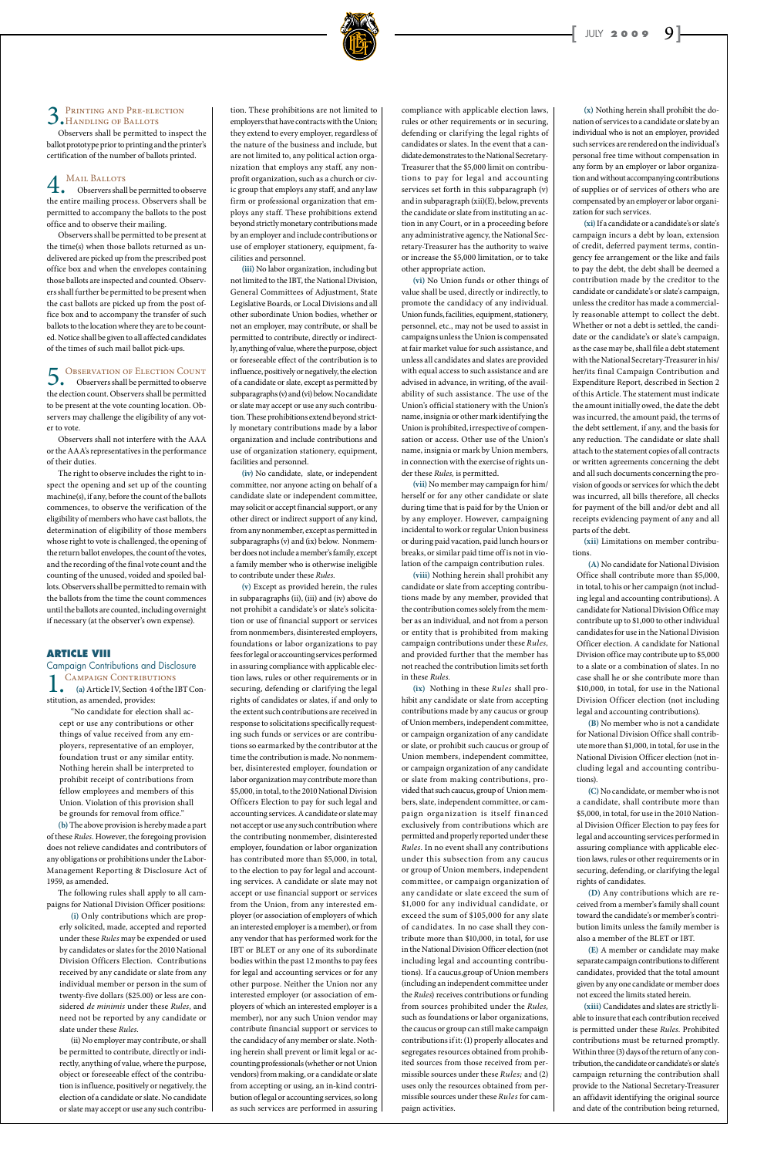### 3. PRINTING AND PRE-ELECTION<br>
MANDLING OF BALLOTS

Observers shall be permitted to inspect the ballot prototype prior to printing and the printer's certification of the number of ballots printed.

### **4.** MAIL BALLOTS<br>Observers shall

Observers shall be permitted to observe the entire mailing process. Observers shall be permitted to accompany the ballots to the post office and to observe their mailing.

5. Observation OF ELECTION COUNT the election count. Observers shall be permitted to be present at the vote counting location. Observers may challenge the eligibility of any voter to vote.

Observers shall be permitted to be present at the time(s) when those ballots returned as undelivered are picked up from the prescribed post office box and when the envelopes containing those ballots are inspected and counted. Observers shall further be permitted to be present when the cast ballots are picked up from the post office box and to accompany the transfer of such ballots to the location where they are to be counted. Notice shall be given to all affected candidates of the times of such mail ballot pick-ups.

Observers shall not interfere with the AAA or the AAA's representatives in the performance of their duties.

The right to observe includes the right to inspect the opening and set up of the counting machine(s), if any, before the count of the ballots commences, to observe the verification of the eligibility of members who have cast ballots, the determination of eligibility of those members whose right to vote is challenged, the opening of the return ballot envelopes, the count of the votes, and the recording of the final vote count and the counting of the unused, voided and spoiled ballots. Observers shall be permitted to remain with the ballots from the time the count commences until the ballots are counted, including overnight if necessary (at the observer's own expense).

#### **ARTICLE VIII**

Campaign Contributions and Disclosure CAMPAIGN CONTRIBUTIONS **(a)** Article IV, Section 4 of the IBT Constitution, as amended, provides:

"No candidate for election shall accept or use any contributions or other things of value received from any employers, representative of an employer, foundation trust or any similar entity. Nothing herein shall be interpreted to prohibit receipt of contributions from fellow employees and members of this Union. Violation of this provision shall be grounds for removal from office."

**(b)** The above provision is hereby made a part of these *Rules.* However, the foregoing provision does not relieve candidates and contributors of any obligations or prohibitions under the Labor-Management Reporting & Disclosure Act of 1959, as amended.

The following rules shall apply to all campaigns for National Division Officer positions:

**(i)** Only contributions which are properly solicited, made, accepted and reported under these *Rules* may be expended or used by candidates or slates for the 2010 National Division Officers Election. Contributions received by any candidate or slate from any individual member or person in the sum of twenty-five dollars (\$25.00) or less are considered *de minimis* under these *Rules*, and need not be reported by any candidate or slate under these *Rules*.

(ii) No employer may contribute, or shall be permitted to contribute, directly or indirectly, anything of value, where the purpose, object or foreseeable effect of the contribution is influence, positively or negatively, the election of a candidate or slate. No candidate or slate may accept or use any such contribution. These prohibitions are not limited to employers that have contracts with the Union; they extend to every employer, regardless of the nature of the business and include, but are not limited to, any political action organization that employs any staff, any nonprofit organization, such as a church or civic group that employs any staff, and any law firm or professional organization that employs any staff. These prohibitions extend beyond strictly monetary contributions made by an employer and includecontributions or use of employer stationery, equipment, facilities and personnel.

**(iii)** No labor organization, including but not limited to the IBT, the National Division, General Committees of Adjustment, State Legislative Boards, or Local Divisions and all other subordinate Union bodies, whether or not an employer, may contribute, or shall be permitted to contribute, directly or indirectly, anything of value, where the purpose, object or foreseeable effect of the contribution is to influence, positively or negatively, the election of a candidate or slate, except as permitted by subparagraphs (v) and (vi) below. No candidate or slate may accept or use any such contribution. These prohibitions extend beyond strictly monetary contributions made by a labor organization and include contributions and use of organization stationery, equipment, facilities and personnel.

**(iv)** No candidate, slate, or independent committee, nor anyone acting on behalf of a candidate slate or independent committee, may solicit or accept financial support, or any other direct or indirect support of any kind, from any nonmember, except as permitted in subparagraphs (v) and (ix) below. Nonmember does not include a member's family, except a family member who is otherwise ineligible to contribute under these *Rules.*

**(v)** Except as provided herein, the rules in subparagraphs (ii), (iii) and (iv) above do not prohibit a candidate's or slate's solicitation or use of financial support or services from nonmembers, disinterested employers, foundations or labor organizations to pay fees for legal or accounting services performed in assuring compliance with applicable election laws, rules or other requirements or in securing, defending or clarifying the legal rights of candidates or slates, if and only to the extent such contributions are received in response to solicitations specifically requesting such funds or services or are contributions so earmarked by the contributor at the time the contribution is made. No nonmember, disinterested employer, foundation or labor organization may contribute more than \$5,000, in total, to the 2010 National Division Officers Election to pay for such legal and accounting services. A candidate or slate may not accept or use any such contribution where the contributing nonmember, disinterested employer, foundation or labor organization has contributed more than \$5,000, in total, to the election to pay for legal and accounting services. A candidate or slate may not accept or use financial support or services from the Union, from any interested employer (or association of employers of which an interested employer is a member), or from any vendor that has performed work for the IBT or BLET or any one of its subordinate bodies within the past 12 months to pay fees for legal and accounting services or for any other purpose. Neither the Union nor any interested employer (or association of employers of which an interested employer is a member), nor any such Union vendor may contribute financial support or services to the candidacy of any member or slate. Nothing herein shall prevent or limit legal or accounting professionals (whether or not Union vendors) from making, or a candidate or slate from accepting or using, an in-kind contribution of legal or accounting services, so long as such services are performed in assuring compliance with applicable election laws, rules or other requirements or in securing, defending or clarifying the legal rights of candidates or slates. In the event that a candidate demonstrates to the National Secretary-Treasurer that the \$5,000 limit on contributions to pay for legal and accounting services set forth in this subparagraph (v) and in subparagraph (xii)(E), below, prevents the candidate or slate from instituting an action in any Court, or in a proceeding before any administrative agency, the National Secretary-Treasurer has the authority to waive or increase the \$5,000 limitation, or to take other appropriate action.

**(vi)** No Union funds or other things of value shall be used, directly or indirectly, to promote the candidacy of any individual. Union funds, facilities, equipment, stationery, personnel, etc., may not be used to assist in campaigns unless the Union is compensated at fair market value for such assistance, and unless all candidates and slates are provided with equal access to such assistance and are advised in advance, in writing, of the availability of such assistance. The use of the Union's official stationery with the Union's name, insignia or other mark identifying the Union is prohibited, irrespective of compensation or access. Other use of the Union's name, insignia or mark by Union members, in connection with the exercise of rights under these *Rules,* is permitted.

**(vii)** No member may campaign for him/ herself or for any other candidate or slate during time that is paid for by the Union or by any employer. However, campaigning incidental to work or regular Union business or during paid vacation, paid lunch hours or breaks, or similar paid time off is not in violation of the campaign contribution rules.

**(viii)** Nothing herein shall prohibit any candidate or slate from accepting contributions made by any member, provided that the contribution comes solely from the member as an individual, and not from a person or entity that is prohibited from making campaign contributions under these *Rules,*  and provided further that the member has not reached the contribution limits set forth in these *Rules.*

**(ix)** Nothing in these *Rules* shall prohibit any candidate or slate from accepting contributions made by any caucus or group of Union members, independent committee, or campaign organization of any candidate or slate, or prohibit such caucus or group of Union members, independent committee, or campaign organization of any candidate or slate from making contributions, provided that such caucus, group of Union members, slate, independent committee, or campaign organization is itself financed exclusively from contributions which are permitted and properly reported under these *Rules.* In no event shall any contributions under this subsection from any caucus or group of Union members, independent committee, or campaign organization of any candidate or slate exceed the sum of \$1,000 for any individual candidate, or exceed the sum of \$105,000 for any slate of candidates. In no case shall they contribute more than \$10,000, in total, for use in the National Division Officer election (not including legal and accounting contributions). If a caucus,group of Union members (including an independent committee under the *Rules*) receives contributions or funding from sources prohibited under the *Rules,*  such as foundations or labor organizations, the caucus or group can still make campaign contributions if it: (1) properly allocates and segregates resources obtained from prohibited sources from those received from permissible sources under these *Rules;* and (2) uses only the resources obtained from permissible sources under these *Rules* for campaign activities.

**(x)** Nothing herein shall prohibit the donation of services to a candidate or slate by an individual who is not an employer, provided such services are rendered on the individual's personal free time without compensation in any form by an employer or labor organization and without accompanying contributions of supplies or of services of others who are compensated by an employer or labor organization for such services.

**(xi)** If a candidate or a candidate's or slate's campaign incurs a debt by loan, extension of credit, deferred payment terms, contingency fee arrangement or the like and fails to pay the debt, the debt shall be deemed a contribution made by the creditor to the candidate or candidate's or slate's campaign, unless the creditor has made a commercially reasonable attempt to collect the debt. Whether or not a debt is settled, the candidate or the candidate's or slate's campaign, as the case may be, shall file a debt statement with the National Secretary-Treasurer in his/ her/its final Campaign Contribution and Expenditure Report, described in Section 2 of this Article. The statement must indicate the amount initially owed, the date the debt was incurred, the amount paid, the terms of the debt settlement, if any, and the basis for any reduction. The candidate or slate shall attach to the statement copies of all contracts or written agreements concerning the debt and all such documents concerning the provision of goods or services for which the debt was incurred, all bills therefore, all checks for payment of the bill and/or debt and all receipts evidencing payment of any and all parts of the debt.

**(xii)** Limitations on member contributions.

**(A)** No candidate for National Division Office shall contribute more than \$5,000, in total, to his or her campaign (not including legal and accounting contributions). A candidate for National Division Office may contribute up to \$1,000 to other individual candidates for use in the National Division Officer election. A candidate for National Division office may contribute up to \$5,000 to a slate or a combination of slates. In no case shall he or she contribute more than \$10,000, in total, for use in the National Division Officer election (not including legal and accounting contributions).

**(B)** No member who is not a candidate for National Division Office shall contribute more than \$1,000, in total, for use in the National Division Officer election (not including legal and accounting contributions).

**(C)** No candidate, or member who is not a candidate, shall contribute more than \$5,000, in total, for use in the 2010 National Division Officer Election to pay fees for legal and accounting services performed in assuring compliance with applicable election laws, rules or other requirements or in securing, defending, or clarifying the legal rights of candidates.

**(D)** Any contributions which are received from a member's family shall count toward the candidate's or member's contribution limits unless the family member is also a member of the BLET or IBT.

**(E)** A member or candidate may make separate campaign contributions to different candidates, provided that the total amount given by any one candidate or member does not exceed the limits stated herein.

**(xiii)** Candidates and slates are strictly liable to insure that each contribution received is permitted under these *Rules.* Prohibited contributions must be returned promptly. Within three (3) days of the return of any contribution, the candidate or candidate's or slate's campaign returning the contribution shall provide to the National Secretary-Treasurer an affidavit identifying the original source and date of the contribution being returned,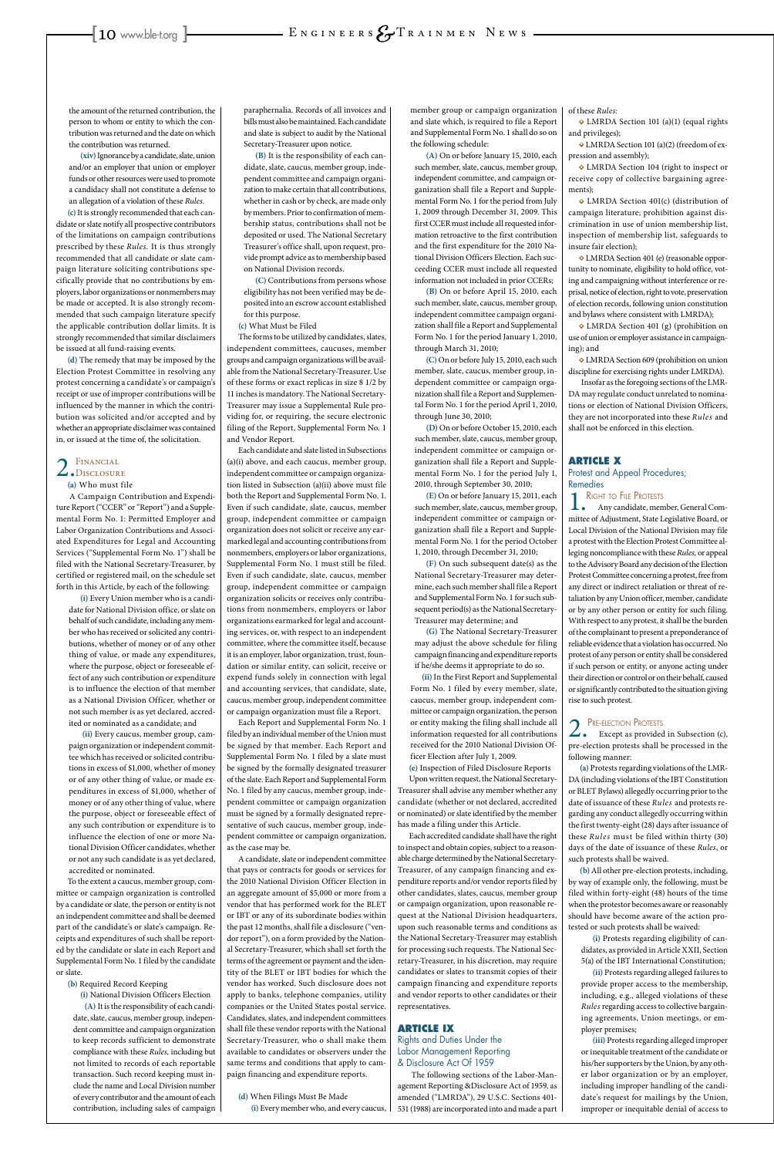the amount of the returned contribution, the person to whom or entity to which the contribution was returned and the date on which the contribution was returned.

**(xiv)** Ignorance by a candidate, slate, union and/or an employer that union or employer funds or other resources were used to promote a candidacy shall not constitute a defense to an allegation of a violation of these *Rules.*

**(c)** It is strongly recommended that each candidate or slate notify all prospective contributors of the limitations on campaign contributions prescribed by these *Rules.* It is thus strongly recommended that all candidate or slate campaign literature soliciting contributions specifically provide that no contributions by employers, labor organizations or nonmembers may be made or accepted. It is also strongly recommended that such campaign literature specify the applicable contribution dollar limits. It is strongly recommended that similar disclaimers be issued at all fund-raising events.

**(d)** The remedy that may be imposed by the Election Protest Committee in resolving any protest concerning a candidate's or campaign's receipt or use of improper contributions will be influenced by the manner in which the contribution was solicited and/or accepted and by whether an appropriate disclaimer was contained in, or issued at the time of, the solicitation.

### 2. FINANCIAL<br>
OISCLOSURE

#### **(a)** Who must file

A Campaign Contribution and Expenditure Report ("CCER" or "Report") and a Supplemental Form No. 1: Permitted Employer and Labor Organization Contributions and Associated Expenditures for Legal and Accounting Services ("Supplemental Form No. 1") shall be filed with the National Secretary-Treasurer, by certified or registered mail, on the schedule set forth in this Article, by each of the following:

**(i)** Every Union member who is a candidate for National Division office, or slate on behalf of such candidate, including any member who has received or solicited any contributions, whether of money or of any other thing of value, or made any expenditures, where the purpose, object or foreseeable effect of any such contribution or expenditure is to influence the election of that member as a National Division Officer, whether or not such member is as yet declared, accredited or nominated as a candidate; and

**(ii)** Every caucus, member group, campaign organization or independent committee which has received or solicited contributions in excess of \$1,000, whether of money or of any other thing of value, or made expenditures in excess of \$1,000, whether of money or of any other thing of value, where the purpose, object or foreseeable effect of any such contribution or expenditure is to influence the election of one or more National Division Officer candidates, whether

or not any such candidate is as yet declared, accredited or nominated.

To the extent a caucus, member group, committee or campaign organization is controlled by a candidate or slate, the person or entity is not an independent committee and shall be deemed part of the candidate's or slate's campaign. Receipts and expenditures of such shall be reported by the candidate or slate in each Report and Supplemental Form No. 1 filed by the candidate or slate.

- **(b)** Required Record Keeping
- **(i)** National Division Officers Election **(A)** It is the responsibility of each candidate, slate, caucus, member group, independent committee and campaign organization to keep records sufficient to demonstrate compliance with these *Rules,* including but not limited to records of each reportable transaction. Such record keeping must include the name and Local Division number of every contributor and the amount of each contribution, including sales of campaign

paraphernalia. Records of all invoices and bills must also be maintained. Each candidate and slate is subject to audit by the National Secretary-Treasurer upon notice.

**(B)** It is the responsibility of each candidate, slate, caucus, member group, independent committee and campaign organization to make certain that all contributions, whether in cash or by check, are made only by members. Prior to confirmation of membership status, contributions shall not be deposited or used. The National Secretary Treasurer's office shall, upon request, provide prompt advice as to membership based on National Division records.

**(C)** Contributions from persons whose eligibility has not been verified may be deposited into an escrow account established for this purpose.

**(c)** What Must be Filed

The forms to be utilized by candidates, slates, independent committees, caucuses, member groups and campaign organizations will be available from the National Secretary-Treasurer. Use of these forms or exact replicas in size 8 1/2 by 11 inches is mandatory. The National Secretary-Treasurer may issue a Supplemental Rule providing for, or requiring, the secure electronic filing of the Report, Supplemental Form No. 1 and Vendor Report.

Each candidate and slate listed in Subsections (a)(i) above, and each caucus, member group, independent committee or campaign organization listed in Subsection (a)(ii) above must file both the Report and Supplemental Form No. 1. Even if such candidate, slate, caucus, member group, independent committee or campaign organization does not solicit or receive any earmarked legal and accounting contributions from nonmembers, employers or labor organizations, Supplemental Form No. 1 must still be filed. Even if such candidate, slate, caucus, member group, independent committee or campaign organization solicits or receives only contributions from nonmembers, employers or labor organizations earmarked for legal and accounting services, or, with respect to an independent committee, where the committee itself, because it is an employer, labor organization, trust, foundation or similar entity, can solicit, receive or expend funds solely in connection with legal and accounting services, that candidate, slate, caucus, member group, independent committee or campaign organization must file a Report.

Each Report and Supplemental Form No. 1 filed by an individual member of the Union must be signed by that member. Each Report and Supplemental Form No. 1 filed by a slate must be signed by the formally designated treasurer of the slate. Each Report and Supplemental Form No. 1 filed by any caucus, member group, independent committee or campaign organization must be signed by a formally designated representative of such caucus, member group, independent committee or campaign organization, as the case may be.

A candidate, slate or independent committee

**2.** PRE-ELECTION PROTESTS<br>Except as provided in Subsection (c), pre-election protests shall be processed in the following manner:

that pays or contracts for goods or services for the 2010 National Division Officer Election in an aggregate amount of \$5,000 or more from a vendor that has performed work for the BLET or IBT or any of its subordinate bodies within the past 12 months, shall file a disclosure ("vendor report"), on a form provided by the National Secretary-Treasurer, which shall set forth the terms of the agreement or payment and the identity of the BLET or IBT bodies for which the vendor has worked. Such disclosure does not apply to banks, telephone companies, utility companies or the United States postal service. Candidates, slates, and independent committees shall file these vendor reports with the National Secretary-Treasurer, who o shall make them available to candidates or observers under the same terms and conditions that apply to campaign financing and expenditure reports.

**(d)** When Filings Must Be Made **(i)** Every member who, and every caucus, member group or campaign organization and slate which, is required to file a Report and Supplemental Form No. 1 shall do so on the following schedule:

**(A)** On or before January 15, 2010, each such member, slate, caucus, member group, independent committee, and campaign organization shall file a Report and Supplemental Form No. 1 for the period from July 1, 2009 through December 31, 2009. This first CCER must include all requested information retroactive to the first contribution and the first expenditure for the 2010 National Division Officers Election. Each succeeding CCER must include all requested information not included in prior CCERs;

**(B)** On or before April 15, 2010, each such member, slate, caucus, member group, independent committee campaign organization shall file a Report and Supplemental Form No. 1 for the period January 1, 2010, through March 31, 2010;

**(C)** On or before July 15, 2010, each such member, slate, caucus, member group, independent committee or campaign organization shall file a Report and Supplemental Form No. 1 for the period April 1, 2010, through June 30, 2010;

**(D)** On or before October 15, 2010, each such member, slate, caucus, member group, independent committee or campaign organization shall file a Report and Supplemental Form No. 1 for the period July 1, 2010, through September 30, 2010;

**(E)** On or before January 15, 2011, each such member, slate, caucus, member group, independent committee or campaign organization shall file a Report and Supplemental Form No. 1 for the period October 1, 2010, through December 31, 2010;

**(F)** On such subsequent date(s) as the National Secretary-Treasurer may determine, each such member shall file a Report and Supplemental Form No. 1 for such subsequent period(s) as the National Secretary-Treasurer may determine; and

**(G)** The National Secretary-Treasurer may adjust the above schedule for filing campaign financing and expenditure reports if he/she deems it appropriate to do so.

**(ii)** In the First Report and Supplemental Form No. 1 filed by every member, slate, caucus, member group, independent committee or campaign organization, the person or entity making the filing shall include all information requested for all contributions received for the 2010 National Division Officer Election after July 1, 2009.

**(e)** Inspection of Filed Disclosure Reports Upon written request, the National Secretary-Treasurer shall advise any member whether any candidate (whether or not declared, accredited or nominated) or slate identified by the member has made a filing under this Article.

Each accredited candidate shall have the right to inspect and obtain copies, subject to a reasonable charge determined by the National Secretary-Treasurer, of any campaign financing and expenditure reports and/or vendor reports filed by other candidates, slates, caucus, member group or campaign organization, upon reasonable request at the National Division headquarters, upon such reasonable terms and conditions as the National Secretary-Treasurer may establish for processing such requests. The National Secretary-Treasurer, in his discretion, may require candidates or slates to transmit copies of their campaign financing and expenditure reports and vendor reports to other candidates or their representatives.

#### **ARTICLE IX** Rights and Duties Under the Labor Management Reporting & Disclosure Act Of 1959

 The following sections of the Labor-Management Reporting &Disclosure Act of 1959, as amended ("LMRDA"), 29 U.S.C. Sections 401- 531 (1988) are incorporated into and made a part

of these *Rules:*

**•** LMRDA Section 101 (a)(1) (equal rights and privileges);

**•** LMRDA Section 101 (a)(2) (freedom of expression and assembly);

**•** LMRDA Section 104 (right to inspect or receive copy of collective bargaining agreements);

**•** LMRDA Section 401(c) (distribution of campaign literature; prohibition against discrimination in use of union membership list, inspection of membership list, safeguards to insure fair election);

**•** LMRDA Section 401 (e) (reasonable opportunity to nominate, eligibility to hold office, voting and campaigning without interference or reprisal, notice of election, right to vote, preservation of election records, following union constitution and bylaws where consistent with LMRDA);

**•** LMRDA Section 401 (g) (prohibition on use of union or employer assistance in campaigning); and

**•** LMRDA Section 609 (prohibition on union discipline for exercising rights under LMRDA).

 Insofar as the foregoing sections of the LMR-DA may regulate conduct unrelated to nominations or election of National Division Officers, they are not incorporated into these *Rules* and shall not be enforced in this election.

#### **ARTICLE X**

Protest and Appeal Procedures; Remedies

RIGHT TO FILE PROTESTS

Any candidate, member, General Committee of Adjustment, State Legislative Board, or Local Division of the National Division may file a protest with the Election Protest Committee alleging noncompliance with these *Rules,* or appeal to the Advisory Board any decision of the Election Protest Committee concerning a protest, free from any direct or indirect retaliation or threat of retaliation by any Union officer, member, candidate or by any other person or entity for such filing. With respect to any protest, it shall be the burden of the complainant to present a preponderance of reliable evidence that a violation has occurred. No protest of any person or entity shall be considered if such person or entity, or anyone acting under their direction or control or on their behalf, caused or significantly contributed to the situation giving rise to such protest.

**(a)** Protests regarding violations of the LMR-DA (including violations of the IBT Constitution or BLET Bylaws) allegedly occurring prior to the date of issuance of these *Rules* and protests regarding any conduct allegedly occurring within the first twenty-eight (28) days after issuance of these *Rules* must be filed within thirty (30) days of the date of issuance of these *Rules*, or

such protests shall be waived.

**(b)** All other pre-election protests, including, by way of example only, the following, must be filed within forty-eight (48) hours of the time when the protestor becomes aware or reasonably should have become aware of the action protested or such protests shall be waived:

**(i)** Protests regarding eligibility of candidates, as provided in Article XXII, Section 5(a) of the IBT International Constitution;

**(ii)** Protests regarding alleged failures to provide proper access to the membership, including, e.g., alleged violations of these *Rules* regarding access to collective bargaining agreements, Union meetings, or employer premises;

**(iii)** Protests regarding alleged improper or inequitable treatment of the candidate or his/her supporters by the Union, by any other labor organization or by an employer, including improper handling of the candidate's request for mailings by the Union, improper or inequitable denial of access to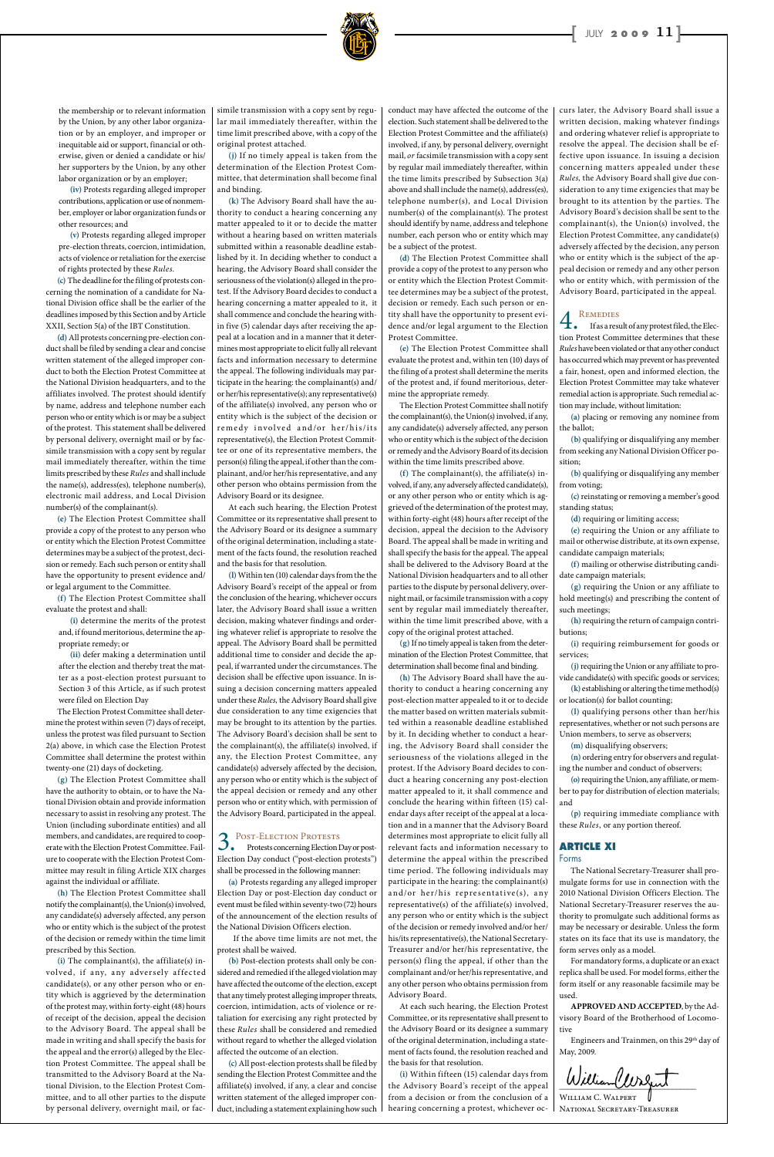the membership or to relevant information by the Union, by any other labor organization or by an employer, and improper or inequitable aid or support, financial or otherwise, given or denied a candidate or his/ her supporters by the Union, by any other labor organization or by an employer;

**(iv)** Protests regarding alleged improper contributions, application or use of nonmember, employer or labor organization funds or other resources; and

**(v)** Protests regarding alleged improper pre-election threats, coercion, intimidation, acts of violence or retaliation for the exercise of rights protected by these *Rules.*

**(c)** The deadline for the filing of protests concerning the nomination of a candidate for National Division office shall be the earlier of the deadlines imposed by this Section and by Article XXII, Section 5(a) of the IBT Constitution.

**(d)** All protests concerning pre-election conduct shall be filed by sending a clear and concise written statement of the alleged improper conduct to both the Election Protest Committee at the National Division headquarters, and to the affiliates involved. The protest should identify by name, address and telephone number each person who or entity which is or may be a subject of the protest. This statement shall be delivered by personal delivery, overnight mail or by facsimile transmission with a copy sent by regular mail immediately thereafter, within the time limits prescribed by these *Rules* and shall include the name(s), address(es), telephone number(s), electronic mail address, and Local Division number(s) of the complainant(s).

**(e)** The Election Protest Committee shall provide a copy of the protest to any person who or entity which the Election Protest Committee determines may be a subject of the protest, decision or remedy. Each such person or entity shall have the opportunity to present evidence and/ or legal argument to the Committee.

**(f)** The Election Protest Committee shall evaluate the protest and shall:

**(i)** determine the merits of the protest and, if found meritorious, determine the appropriate remedy; or

**(ii)** defer making a determination until after the election and thereby treat the matter as a post-election protest pursuant to Section 3 of this Article, as if such protest were filed on Election Day

The Election Protest Committee shall determine the protest within seven (7) days of receipt, unless the protest was filed pursuant to Section 2(a) above, in which case the Election Protest Committee shall determine the protest within twenty-one (21) days of docketing.

**(g)** The Election Protest Committee shall have the authority to obtain, or to have the National Division obtain and provide information necessary to assist in resolving any protest. The Union (including subordinate entities) and all members, and candidates, are required to cooperate with the Election Protest Committee. Failure to cooperate with the Election Protest Committee may result in filing Article XIX charges against the individual or affiliate. **(h)** The Election Protest Committee shall notify the complainant(s), the Union(s) involved, any candidate(s) adversely affected, any person who or entity which is the subject of the protest of the decision or remedy within the time limit prescribed by this Section. **(i)** The complainant(s), the affiliate(s) involved, if any, any adversely affected candidate(s), or any other person who or entity which is aggrieved by the determination of the protest may, within forty-eight (48) hours of receipt of the decision, appeal the decision to the Advisory Board. The appeal shall be made in writing and shall specify the basis for the appeal and the error(s) alleged by the Election Protest Committee. The appeal shall be transmitted to the Advisory Board at the National Division, to the Election Protest Committee, and to all other parties to the dispute by personal delivery, overnight mail, or facsimile transmission with a copy sent by regular mail immediately thereafter, within the time limit prescribed above, with a copy of the original protest attached.

**(j)** If no timely appeal is taken from the determination of the Election Protest Committee, that determination shall become final and binding.

**(k)** The Advisory Board shall have the authority to conduct a hearing concerning any matter appealed to it or to decide the matter without a hearing based on written materials submitted within a reasonable deadline established by it. In deciding whether to conduct a hearing, the Advisory Board shall consider the seriousness of the violation(s) alleged in the protest. If the Advisory Board decides to conduct a hearing concerning a matter appealed to it, it shall commence and conclude the hearing within five (5) calendar days after receiving the appeal at a location and in a manner that it determines most appropriate to elicit fully all relevant facts and information necessary to determine the appeal. The following individuals may participate in the hearing: the complainant(s) and/ or her/his representative(s); any representative(s) of the affiliate(s) involved, any person who or entity which is the subject of the decision or remedy involved and/or her/his/its representative(s), the Election Protest Committee or one of its representative members, the person(s) filing the appeal, if other than the complainant, and/or her/his representative, and any other person who obtains permission from the Advisory Board or its designee.

At each such hearing, the Election Protest Committee or its representative shall present to the Advisory Board or its designee a summary of the original determination, including a statement of the facts found, the resolution reached and the basis for that resolution.

**(l)** Within ten (10) calendar days from the the Advisory Board's receipt of the appeal or from the conclusion of the hearing, whichever occurs later, the Advisory Board shall issue a written decision, making whatever findings and ordering whatever relief is appropriate to resolve the appeal. The Advisory Board shall be permitted additional time to consider and decide the appeal, if warranted under the circumstances. The decision shall be effective upon issuance. In issuing a decision concerning matters appealed under these *Rules,* the Advisory Board shall give due consideration to any time exigencies that may be brought to its attention by the parties. The Advisory Board's decision shall be sent to the complainant(s), the affiliate(s) involved, if any, the Election Protest Committee, any candidate(s) adversely affected by the decision, any person who or entity which is the subject of the appeal decision or remedy and any other person who or entity which, with permission of the Advisory Board, participated in the appeal.

#### 3.Post-Election Protests Protests concerning Election Day or post-

Election Day conduct ("post-election protests") shall be processed in the following manner:

**(a)** Protests regarding any alleged improper Election Day or post-Election day conduct or event must be filed within seventy-two (72) hours of the announcement of the election results of the National Division Officers election.

 If the above time limits are not met, the protest shall be waived.

**(b)** Post-election protests shall only be considered and remedied if the alleged violation may have affected the outcome of the election, except that any timely protest alleging improper threats, coercion, intimidation, acts of violence or retaliation for exercising any right protected by these *Rules* shall be considered and remedied without regard to whether the alleged violation affected the outcome of an election.

Engineers and Trainmen, on this 29<sup>th</sup> day of May, 2009.

 $\sim$ 

**(c)** All post-election protests shall be filed by sending the Election Protest Committee and the affiliate(s) involved, if any, a clear and concise written statement of the alleged improper conduct, including a statement explaining how such conduct may have affected the outcome of the election. Such statement shall be delivered to the Election Protest Committee and the affiliate(s) involved, if any, by personal delivery, overnight mail, *or* facsimile transmission with a copy sent by regular mail immediately thereafter, within the time limits prescribed by Subsection 3(a) above and shall include the name(s), address(es), telephone number(s), and Local Division number(s) of the complainant(s). The protest should identify by name, address and telephone number, each person who or entity which may be a subject of the protest.

**(d)** The Election Protest Committee shall provide a copy of the protest to any person who or entity which the Election Protest Committee determines may be a subject of the protest, decision or remedy. Each such person or entity shall have the opportunity to present evidence and/or legal argument to the Election Protest Committee.

**(e)** The Election Protest Committee shall evaluate the protest and, within ten (10) days of the filing of a protest shall determine the merits of the protest and, if found meritorious, determine the appropriate remedy.

The Election Protest Committee shall notify the complainant(s), the Union(s) involved, if any, any candidate(s) adversely affected, any person who or entity which is the subject of the decision or remedy and the Advisory Board of its decision within the time limits prescribed above.

**(f)** The complainant(s), the affiliate(s) involved, if any, any adversely affected candidate(s), or any other person who or entity which is aggrieved of the determination of the protest may, within forty-eight (48) hours after receipt of the decision, appeal the decision to the Advisory Board. The appeal shall be made in writing and shall specify the basis for the appeal. The appeal shall be delivered to the Advisory Board at the National Division headquarters and to all other parties to the dispute by personal delivery, overnight mail, or facsimile transmission with a copy sent by regular mail immediately thereafter, within the time limit prescribed above, with a copy of the original protest attached.

**(g)** If no timely appeal is taken from the determination of the Election Protest Committee, that determination shall become final and binding.

**(h)** The Advisory Board shall have the authority to conduct a hearing concerning any post-election matter appealed to it or to decide the matter based on written materials submitted within a reasonable deadline established by it. In deciding whether to conduct a hearing, the Advisory Board shall consider the seriousness of the violations alleged in the protest. If the Advisory Board decides to conduct a hearing concerning any post-election matter appealed to it, it shall commence and conclude the hearing within fifteen (15) calendar days after receipt of the appeal at a location and in a manner that the Advisory Board determines most appropriate to elicit fully all relevant facts and information necessary to determine the appeal within the prescribed time period. The following individuals may participate in the hearing: the complainant(s) and/or her/his representative(s), any representative(s) of the affiliate(s) involved, any person who or entity which is the subject of the decision or remedy involved and/or her/ his/its representative(s), the National Secretary-Treasurer and/or her/his representative, the person(s) fling the appeal, if other than the complainant and/or her/his representative, and any other person who obtains permission from Advisory Board.

At each such hearing, the Election Protest Committee, or its representative shall present to the Advisory Board or its designee a summary of the original determination, including a statement of facts found, the resolution reached and the basis for that resolution.

**(i)** Within fifteen (15) calendar days from the Advisory Board's receipt of the appeal from a decision or from the conclusion of a hearing concerning a protest, whichever oc-

curs later, the Advisory Board shall issue a written decision, making whatever findings and ordering whatever relief is appropriate to resolve the appeal. The decision shall be effective upon issuance. In issuing a decision concerning matters appealed under these *Rules,* the Advisory Board shall give due consideration to any time exigencies that may be brought to its attention by the parties. The Advisory Board's decision shall be sent to the complainant(s), the Union(s) involved, the Election Protest Committee, any candidate(s) adversely affected by the decision, any person who or entity which is the subject of the appeal decision or remedy and any other person who or entity which, with permission of the Advisory Board, participated in the appeal.

4.Remedies If as a result of any protest filed, the Election Protest Committee determines that these *Rules* have been violated or that any other conduct has occurred which may prevent or has prevented a fair, honest, open and informed election, the Election Protest Committee may take whatever remedial action is appropriate. Such remedial action may include, without limitation:

**(a)** placing or removing any nominee from the ballot;

**(b)** qualifying or disqualifying any member from seeking any National Division Officer position;

**(b)** qualifying or disqualifying any member from voting;

**(c)** reinstating or removing a member's good standing status;

**(d)** requiring or limiting access;

**(e)** requiring the Union or any affiliate to mail or otherwise distribute, at its own expense, candidate campaign materials;

**(f)** mailing or otherwise distributing candidate campaign materials;

**(g)** requiring the Union or any affiliate to hold meeting(s) and prescribing the content of such meetings;

**(h)** requiring the return of campaign contributions;

**(i)** requiring reimbursement for goods or services;

**(j)** requiring the Union or any affiliate to provide candidate(s) with specific goods or services;

**(k)** establishing or altering the time method(s) or location(s) for ballot counting;

**(l)** qualifying persons other than her/his representatives, whether or not such persons are Union members, to serve as observers;

**(m)** disqualifying observers;

**(n)** ordering entry for observers and regulating the number and conduct of observers;

**(o)** requiring the Union, any affiliate, or member to pay for distribution of election materials; and

**(p)** requiring immediate compliance with these *Rules*, or any portion thereof.

#### **ARTICLE XI**

Forms

The National Secretary-Treasurer shall promulgate forms for use in connection with the 2010 National Division Officers Election. The National Secretary-Treasurer reserves the authority to promulgate such additional forms as may be necessary or desirable. Unless the form states on its face that its use is mandatory, the form serves only as a model.

For mandatory forms, a duplicate or an exact replica shall be used. For model forms, either the form itself or any reasonable facsimile may be used.

**APPROVED AND ACCEPTED**, by the Advisory Board of the Brotherhood of Locomotive

William C. Walpert National Secretary-Treasurer